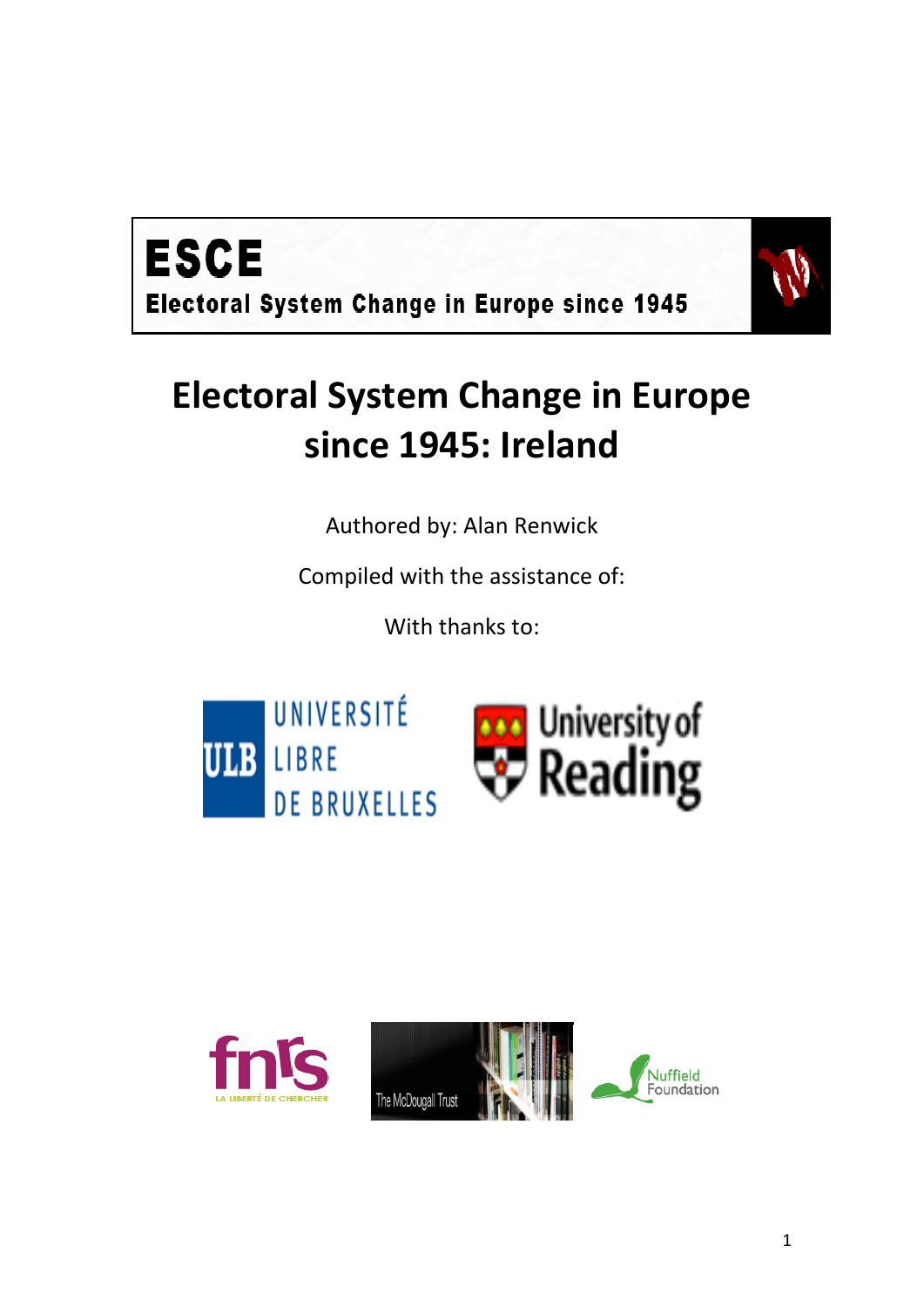



# **Electoral System Change in Europe since 1945: Ireland**

Authored by: Alan Renwick

Compiled with the assistance of:

With thanks to:



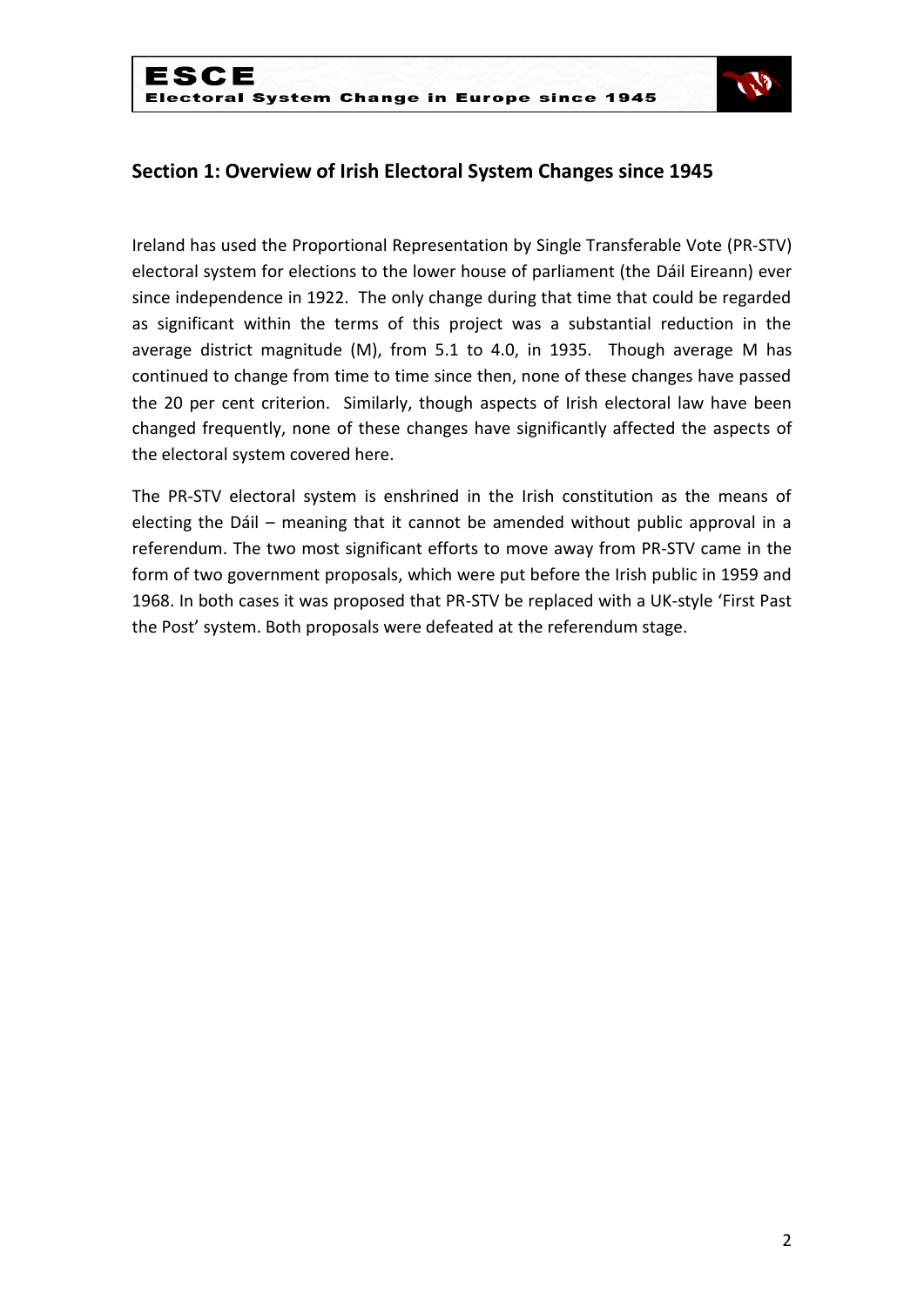

# **Section 1: Overview of Irish Electoral System Changes since 1945**

Ireland has used the Proportional Representation by Single Transferable Vote (PR-STV) electoral system for elections to the lower house of parliament (the Dáil Eireann) ever since independence in 1922. The only change during that time that could be regarded as significant within the terms of this project was a substantial reduction in the average district magnitude (M), from 5.1 to 4.0, in 1935. Though average M has continued to change from time to time since then, none of these changes have passed the 20 per cent criterion. Similarly, though aspects of Irish electoral law have been changed frequently, none of these changes have significantly affected the aspects of the electoral system covered here.

The PR-STV electoral system is enshrined in the Irish constitution as the means of electing the Dáil – meaning that it cannot be amended without public approval in a referendum. The two most significant efforts to move away from PR-STV came in the form of two government proposals, which were put before the Irish public in 1959 and 1968. In both cases it was proposed that PR-STV be replaced with a UK-style 'First Past the Post' system. Both proposals were defeated at the referendum stage.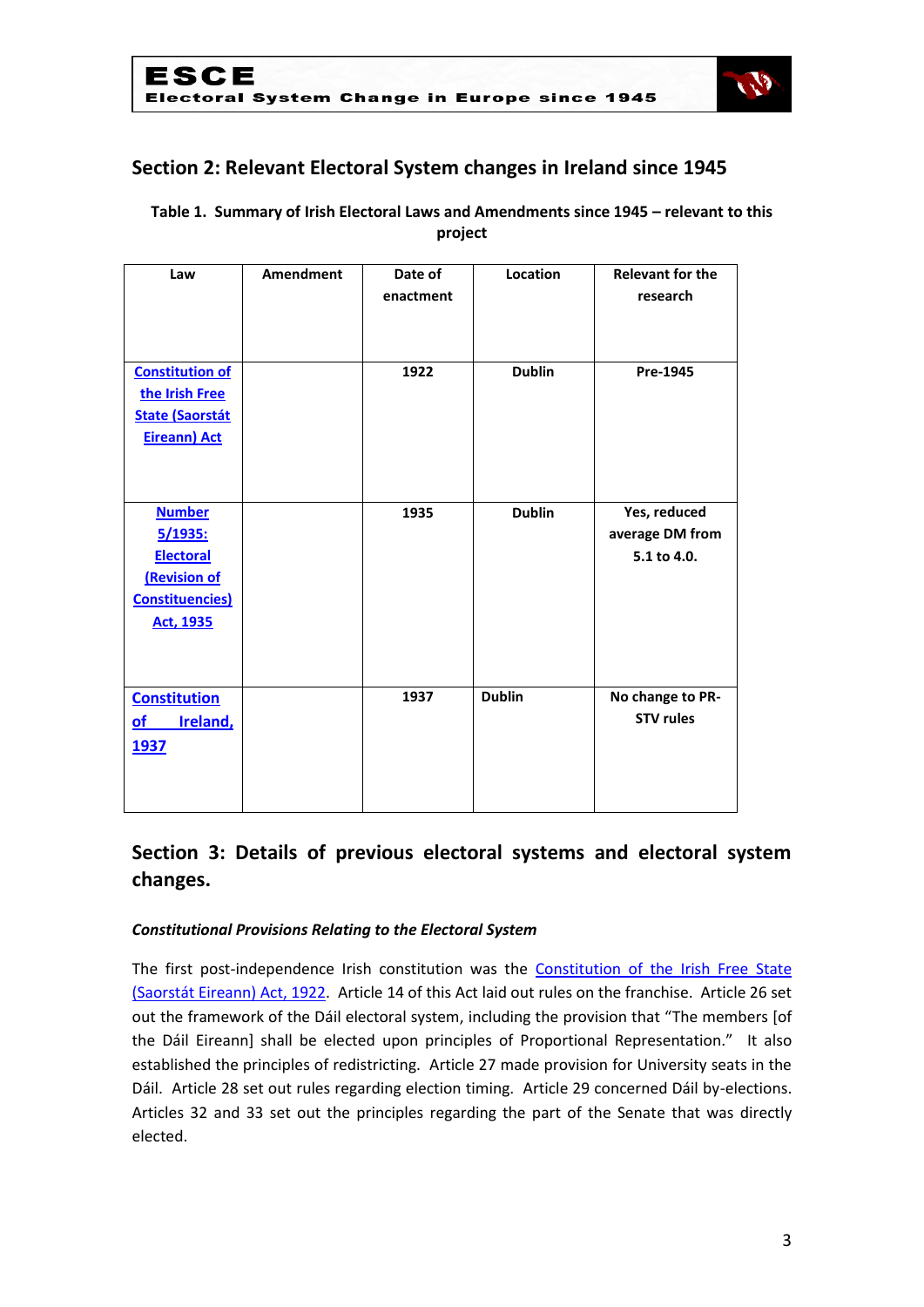

# **Section 2: Relevant Electoral System changes in Ireland since 1945**

#### **Table 1. Summary of Irish Electoral Laws and Amendments since 1945 – relevant to this project**

| Law                                                                                                         | Amendment | Date of<br>enactment | Location      | <b>Relevant for the</b><br>research            |  |
|-------------------------------------------------------------------------------------------------------------|-----------|----------------------|---------------|------------------------------------------------|--|
|                                                                                                             |           |                      |               |                                                |  |
| <b>Constitution of</b><br>the Irish Free<br><b>State (Saorstát</b><br><b>Eireann) Act</b>                   |           | 1922                 | <b>Dublin</b> | Pre-1945                                       |  |
| <b>Number</b><br>5/1935:<br><b>Electoral</b><br><b>(Revision of</b><br><b>Constituencies</b> )<br>Act, 1935 |           | 1935                 | <b>Dublin</b> | Yes, reduced<br>average DM from<br>5.1 to 4.0. |  |
| <b>Constitution</b><br><b>Ireland</b> ,<br>$\underline{\mathsf{of}}$<br>1937                                |           | 1937                 | <b>Dublin</b> | No change to PR-<br><b>STV rules</b>           |  |

# **Section 3: Details of previous electoral systems and electoral system changes.**

#### *Constitutional Provisions Relating to the Electoral System*

The first post-independence Irish constitution was the Constitution of the Irish Free State [\(Saorstát Eireann\) Act, 1922.](http://www.irishstatutebook.ie/1922/en/act/pub/0001/print.html) Article 14 of this Act laid out rules on the franchise. Article 26 set out the framework of the Dáil electoral system, including the provision that "The members [of the Dáil Eireann] shall be elected upon principles of Proportional Representation." It also established the principles of redistricting. Article 27 made provision for University seats in the Dáil. Article 28 set out rules regarding election timing. Article 29 concerned Dáil by-elections. Articles 32 and 33 set out the principles regarding the part of the Senate that was directly elected.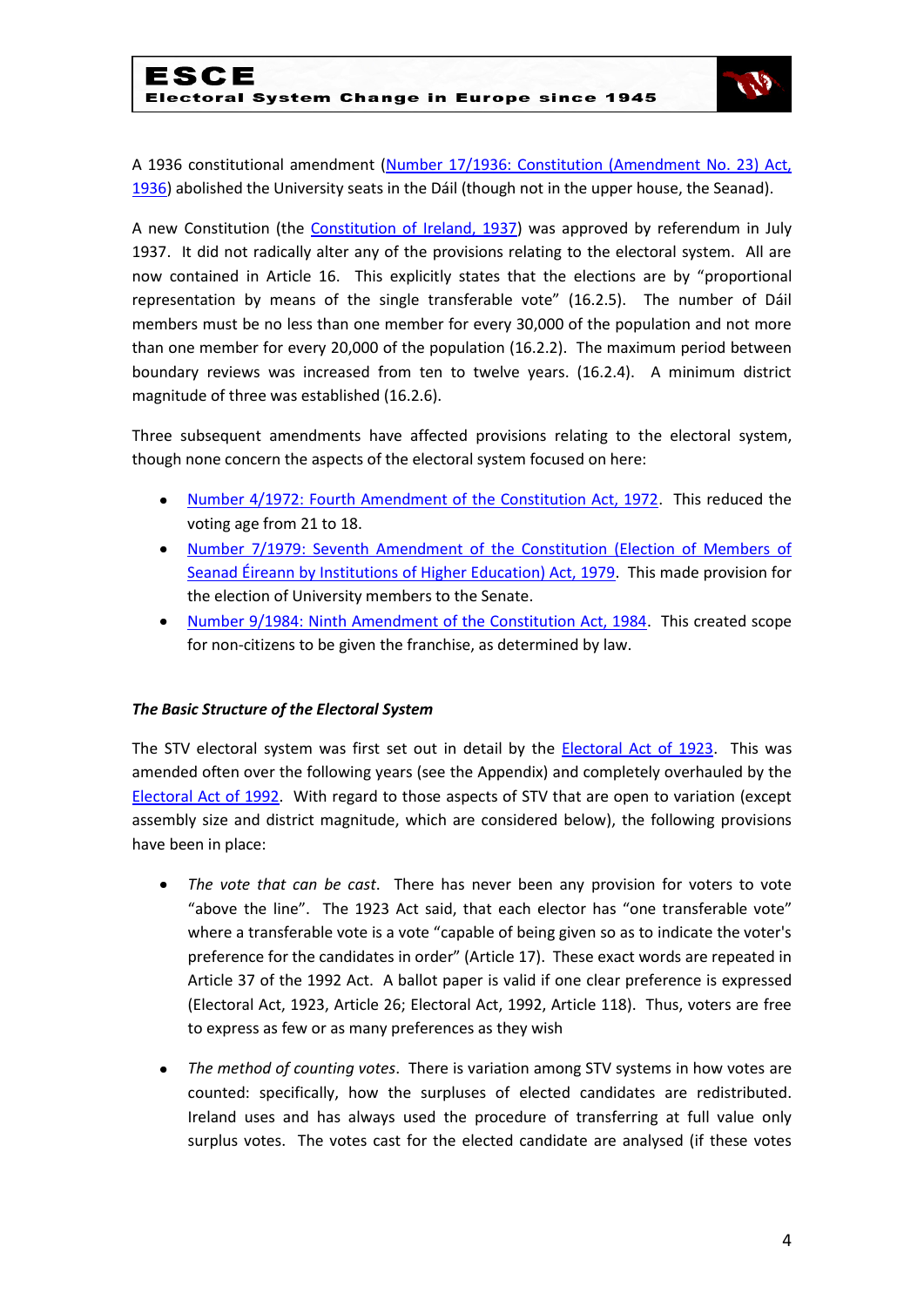

A 1936 constitutional amendment [\(Number 17/1936: Constitution \(Amendment No. 23\) Act,](http://www.acts.ie/plweb-cgi/fastweb?state_id=1289463003&view=s0052_english_view&docrank=22&numhitsfound=31&query_rule=%28%28%28$query4%29%3C%3Dactyear%3C%3D%28$query5%29%29%20AND%20%28%28$query6%29%29%3Aactno%20AND%20%28%28$query7%29%29%3Asectionnumber%20AND%20%28%28$query1%29%29%3Alongtitle%20AND%20%28%28$query2%29%29%3Ashorttitle%20AND%20%28%28$query3%29%29%3Asidehead%20AND%20%28%28$query%29%29%29&query2=constitution&docid=11070&docdb=s0052_english&dbname=s0052_english&numresults=50&sorting=none&operator=and&TemplateName=predoc.tmpl&setCookie=1)  [1936\)](http://www.acts.ie/plweb-cgi/fastweb?state_id=1289463003&view=s0052_english_view&docrank=22&numhitsfound=31&query_rule=%28%28%28$query4%29%3C%3Dactyear%3C%3D%28$query5%29%29%20AND%20%28%28$query6%29%29%3Aactno%20AND%20%28%28$query7%29%29%3Asectionnumber%20AND%20%28%28$query1%29%29%3Alongtitle%20AND%20%28%28$query2%29%29%3Ashorttitle%20AND%20%28%28$query3%29%29%3Asidehead%20AND%20%28%28$query%29%29%29&query2=constitution&docid=11070&docdb=s0052_english&dbname=s0052_english&numresults=50&sorting=none&operator=and&TemplateName=predoc.tmpl&setCookie=1) abolished the University seats in the Dáil (though not in the upper house, the Seanad).

A new Constitution (the [Constitution of Ireland, 1937\)](http://www.constitution.ie/reports/ConstitutionofIreland.pdf) was approved by referendum in July 1937. It did not radically alter any of the provisions relating to the electoral system. All are now contained in Article 16. This explicitly states that the elections are by "proportional representation by means of the single transferable vote" (16.2.5). The number of Dáil members must be no less than one member for every 30,000 of the population and not more than one member for every 20,000 of the population (16.2.2). The maximum period between boundary reviews was increased from ten to twelve years. (16.2.4). A minimum district magnitude of three was established (16.2.6).

Three subsequent amendments have affected provisions relating to the electoral system, though none concern the aspects of the electoral system focused on here:

- [Number 4/1972: Fourth Amendment of the Constitution Act, 1972.](http://www.acts.ie/plweb-cgi/fastweb?state_id=1289463628&view=s0052_english_view&docrank=17&numhitsfound=75&query_rule=%28%28%28$query4%29%3C%3Dactyear%3C%3D%28$query5%29%29%20AND%20%28%28$query6%29%29%3Aactno%20AND%20%28%28$query7%29%29%3Asectionnumber%20AND%20%28%28$query1%29%29%3Alongtitle%20AND%20%28%28$query2%29%29%3Ashorttitle%20AND%20%28%28$query3%29%29%3Asidehead%20AND%20%28%28$query%29%29%29&query1=constitution&docid=11079&docdb=s0052_english&dbname=s0052_english&numresults=100&sorting=none&operator=and&TemplateName=predoc.tmpl&setCookie=1) This reduced the  $\bullet$ voting age from 21 to 18.
- [Number 7/1979: Seventh Amendment of the Constitution \(Election of Members of](http://www.acts.ie/plweb-cgi/fastweb?state_id=1289467004&view=s0052_english_view&docrank=14&numhitsfound=75&query_rule=%28%28%28$query4%29%3C%3Dactyear%3C%3D%28$query5%29%29%20AND%20%28%28$query6%29%29%3Aactno%20AND%20%28%28$query7%29%29%3Asectionnumber%20AND%20%28%28$query1%29%29%3Alongtitle%20AND%20%28%28$query2%29%29%3Ashorttitle%20AND%20%28%28$query3%29%29%3Asidehead%20AND%20%28%28$query%29%29%29&query1=constitution&docid=11083&docdb=s0052_english&dbname=s0052_english&numresults=100&sorting=none&operator=and&TemplateName=predoc.tmpl&setCookie=1)  [Seanad Éireann by Institutions of Higher Education\) Act, 1979.](http://www.acts.ie/plweb-cgi/fastweb?state_id=1289467004&view=s0052_english_view&docrank=14&numhitsfound=75&query_rule=%28%28%28$query4%29%3C%3Dactyear%3C%3D%28$query5%29%29%20AND%20%28%28$query6%29%29%3Aactno%20AND%20%28%28$query7%29%29%3Asectionnumber%20AND%20%28%28$query1%29%29%3Alongtitle%20AND%20%28%28$query2%29%29%3Ashorttitle%20AND%20%28%28$query3%29%29%3Asidehead%20AND%20%28%28$query%29%29%29&query1=constitution&docid=11083&docdb=s0052_english&dbname=s0052_english&numresults=100&sorting=none&operator=and&TemplateName=predoc.tmpl&setCookie=1) This made provision for the election of University members to the Senate.
- [Number 9/1984: Ninth Amendment of the Constitution Act, 1984.](http://www.acts.ie/plweb-cgi/fastweb?state_id=1289467004&view=s0052_english_view&docrank=12&numhitsfound=75&query_rule=%28%28%28$query4%29%3C%3Dactyear%3C%3D%28$query5%29%29%20AND%20%28%28$query6%29%29%3Aactno%20AND%20%28%28$query7%29%29%3Asectionnumber%20AND%20%28%28$query1%29%29%3Alongtitle%20AND%20%28%28$query2%29%29%3Ashorttitle%20AND%20%28%28$query3%29%29%3Asidehead%20AND%20%28%28$query%29%29%29&query1=constitution&docid=11087&docdb=s0052_english&dbname=s0052_english&numresults=100&sorting=none&operator=and&TemplateName=predoc.tmpl&setCookie=1) This created scope for non-citizens to be given the franchise, as determined by law.

#### *The Basic Structure of the Electoral System*

The STV electoral system was first set out in detail by the [Electoral Act of 1923.](http://www.acts.ie/plweb-cgi/fastweb?state_id=1288196558&view=s0052_english_view&docrank=50&numhitsfound=51&query_rule=%28%28%28$query4%29%3C%3Dactyear%3C%3D%28$query5%29%29%20AND%20%28%28$query6%29%29%3Aactno%20AND%20%28%28$query7%29%29%3Asectionnumber%20) This was amended often over the following years (see the Appendix) and completely overhauled by the [Electoral Act of 1992.](http://www.acts.ie/plweb-cgi/fastweb?state_id=1288196558&view=s0052_english_view&docrank=10&numhitsfound=51&query_rule=%28%28%28$query4%29%3C%3Dactyear%3C%3D%28$query5%29%29%20AND%20%28%28$query6%29%29%3Aactno%20AND%20%28%28$query7%29%29%3Asectionnumber%20) With regard to those aspects of STV that are open to variation (except assembly size and district magnitude, which are considered below), the following provisions have been in place:

- *The vote that can be cast*. There has never been any provision for voters to vote "above the line". The 1923 Act said, that each elector has "one transferable vote" where a transferable vote is a vote "capable of being given so as to indicate the voter's preference for the candidates in order" (Article 17). These exact words are repeated in Article 37 of the 1992 Act. A ballot paper is valid if one clear preference is expressed (Electoral Act, 1923, Article 26; Electoral Act, 1992, Article 118). Thus, voters are free to express as few or as many preferences as they wish
- *The method of counting votes*. There is variation among STV systems in how votes are counted: specifically, how the surpluses of elected candidates are redistributed. Ireland uses and has always used the procedure of transferring at full value only surplus votes. The votes cast for the elected candidate are analysed (if these votes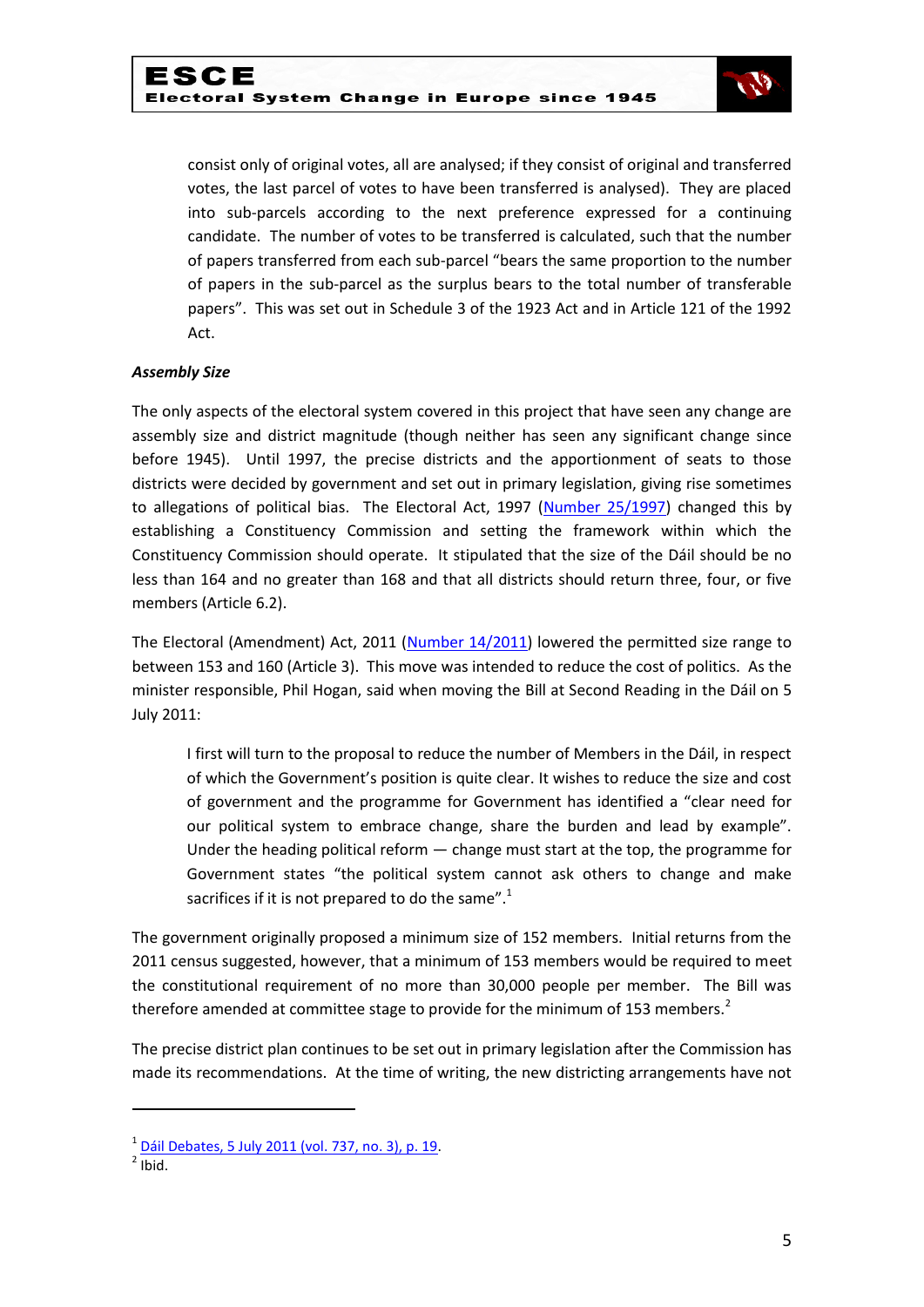

consist only of original votes, all are analysed; if they consist of original and transferred votes, the last parcel of votes to have been transferred is analysed). They are placed into sub-parcels according to the next preference expressed for a continuing candidate. The number of votes to be transferred is calculated, such that the number of papers transferred from each sub-parcel "bears the same proportion to the number of papers in the sub-parcel as the surplus bears to the total number of transferable papers". This was set out in Schedule 3 of the 1923 Act and in Article 121 of the 1992 Act.

#### *Assembly Size*

The only aspects of the electoral system covered in this project that have seen any change are assembly size and district magnitude (though neither has seen any significant change since before 1945). Until 1997, the precise districts and the apportionment of seats to those districts were decided by government and set out in primary legislation, giving rise sometimes to allegations of political bias. The Electoral Act, 1997 [\(Number 25/1997\)](http://www.acts.ie/plweb-cgi/fastweb?state_id=1288196558&view=s0052_english_view&docrank=7&numhitsfound=51&query_rule=%28%28%28$query4%29%3C%3Dactyear%3C%3D%28$query5%29%29%20AND%20%28%28$query6%29%29%3Aactno%20AND%20%28%28$query7%29%29%3Asectionnumber%20AND%20%28%28$query1%29%29%3Alongtitle%20AND%20%28%28$query2%29%29%3Ashorttitle%20AND%20%28%28$query3%29%29%3Asidehead%20AND%20%28%28$query%29%29%29&query2=electoral&query4=1922&query5=2010&docid=8109&docdb=s0052_english&dbname=s0052_english&numresults=100&sorting=none&operator=and&TemplateName=predoc.tmpl&setCookie=1) changed this by establishing a Constituency Commission and setting the framework within which the Constituency Commission should operate. It stipulated that the size of the Dáil should be no less than 164 and no greater than 168 and that all districts should return three, four, or five members (Article 6.2).

The Electoral (Amendment) Act, 2011 [\(Number 14/2011\)](http://www.irishstatutebook.ie/2011/en/act/pub/0014/index.html) lowered the permitted size range to between 153 and 160 (Article 3). This move was intended to reduce the cost of politics. As the minister responsible, Phil Hogan, said when moving the Bill at Second Reading in the Dáil on 5 July 2011:

I first will turn to the proposal to reduce the number of Members in the Dáil, in respect of which the Government's position is quite clear. It wishes to reduce the size and cost of government and the programme for Government has identified a "clear need for our political system to embrace change, share the burden and lead by example". Under the heading political reform  $-$  change must start at the top, the programme for Government states "the political system cannot ask others to change and make sacrifices if it is not prepared to do the same". $1$ 

The government originally proposed a minimum size of 152 members. Initial returns from the 2011 census suggested, however, that a minimum of 153 members would be required to meet the constitutional requirement of no more than 30,000 people per member. The Bill was therefore amended at committee stage to provide for the minimum of 153 members.<sup>2</sup>

The precise district plan continues to be set out in primary legislation after the Commission has made its recommendations. At the time of writing, the new districting arrangements have not

**.** 

<sup>&</sup>lt;sup>1</sup> [Dáil Debates, 5 July 2011 \(vol. 737, no. 3\), p. 19.](http://debates.oireachtas.ie/dail/2011/07/05/00019.asp)

 $<sup>2</sup>$  Ibid.</sup>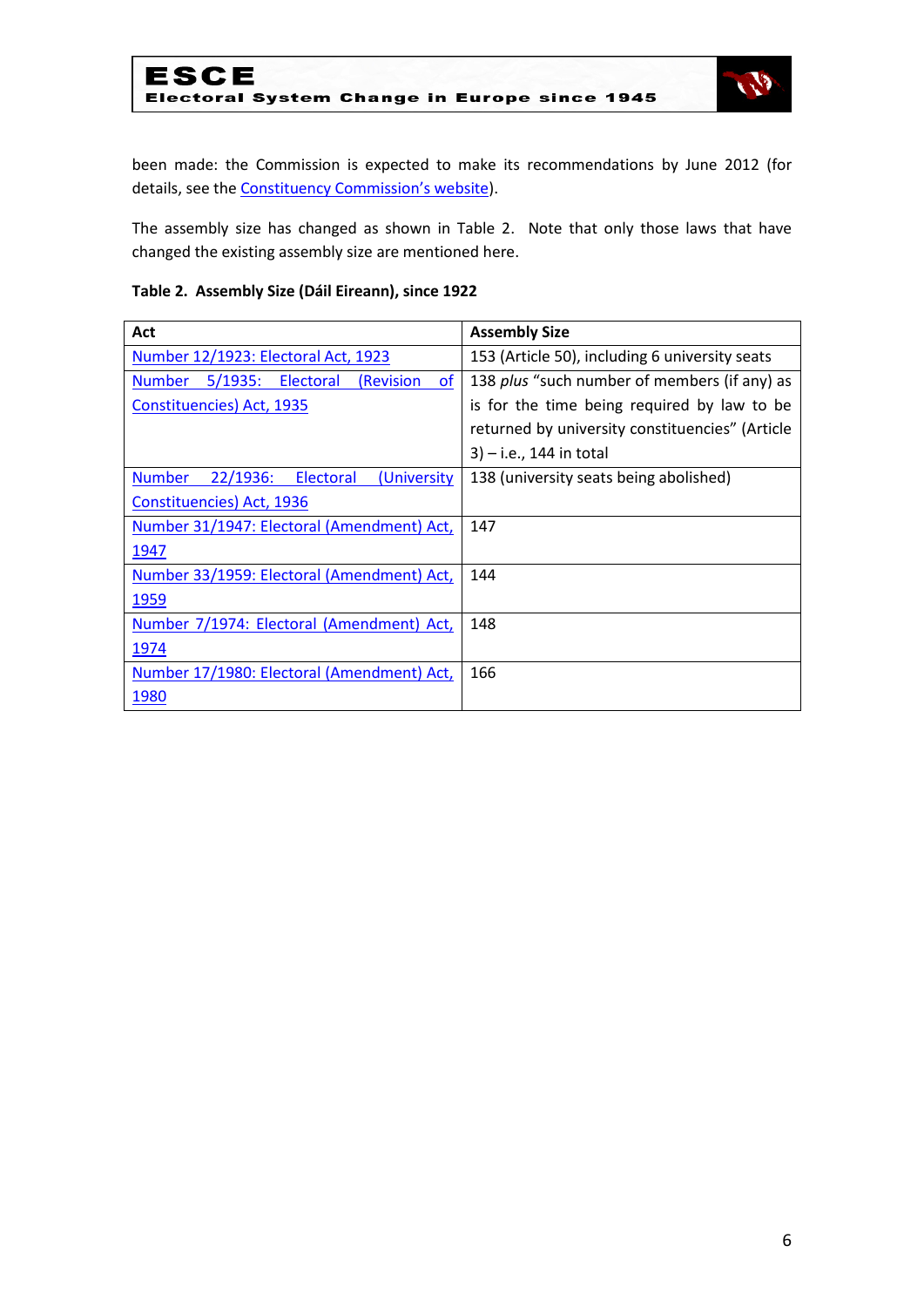

been made: the Commission is expected to make its recommendations by June 2012 (for details, see the **[Constituency Commission's website](http://www.constituency-commission.ie/index.htm)**).

The assembly size has changed as shown in Table 2. Note that only those laws that have changed the existing assembly size are mentioned here.

#### **Table 2. Assembly Size (Dáil Eireann), since 1922**

| Act                                                        | <b>Assembly Size</b>                            |  |  |  |  |
|------------------------------------------------------------|-------------------------------------------------|--|--|--|--|
| Number 12/1923: Electoral Act, 1923                        | 153 (Article 50), including 6 university seats  |  |  |  |  |
| <b>of</b><br>Number 5/1935: Electoral<br><i>(Revision)</i> | 138 plus "such number of members (if any) as    |  |  |  |  |
| Constituencies) Act, 1935                                  | is for the time being required by law to be     |  |  |  |  |
|                                                            | returned by university constituencies" (Article |  |  |  |  |
|                                                            | $3) - i.e., 144$ in total                       |  |  |  |  |
| 22/1936:<br><b>Number</b><br>Electoral<br>(University      | 138 (university seats being abolished)          |  |  |  |  |
| <b>Constituencies</b> ) Act, 1936                          |                                                 |  |  |  |  |
| Number 31/1947: Electoral (Amendment) Act,                 | 147                                             |  |  |  |  |
| 1947                                                       |                                                 |  |  |  |  |
| Number 33/1959: Electoral (Amendment) Act,                 | 144                                             |  |  |  |  |
| 1959                                                       |                                                 |  |  |  |  |
| Number 7/1974: Electoral (Amendment) Act,                  | 148                                             |  |  |  |  |
| 1974                                                       |                                                 |  |  |  |  |
| Number 17/1980: Electoral (Amendment) Act,                 | 166                                             |  |  |  |  |
| 1980                                                       |                                                 |  |  |  |  |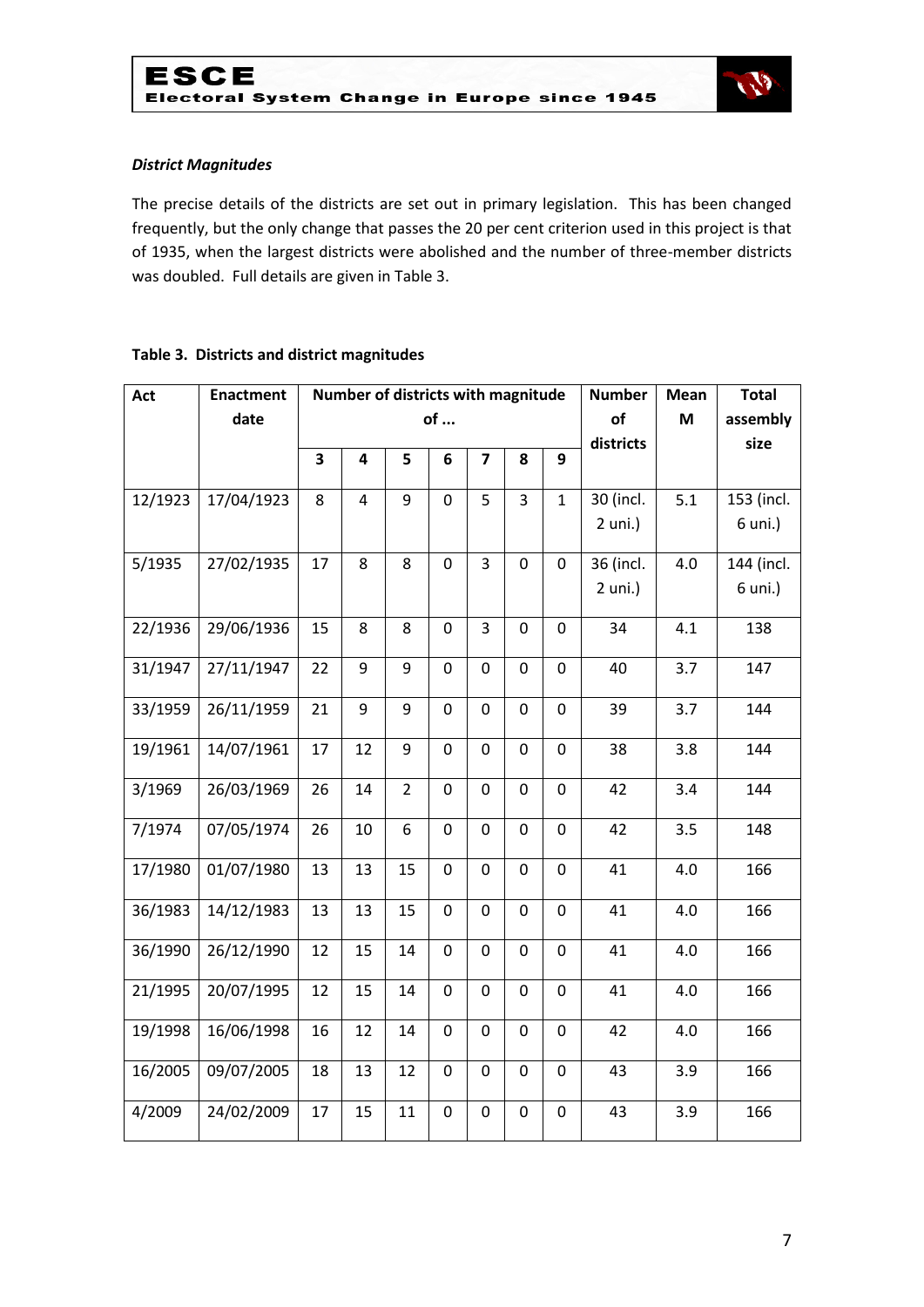

#### *District Magnitudes*

The precise details of the districts are set out in primary legislation. This has been changed frequently, but the only change that passes the 20 per cent criterion used in this project is that of 1935, when the largest districts were abolished and the number of three-member districts was doubled. Full details are given in Table 3.

#### **Table 3. Districts and district magnitudes**

| Act     | <b>Enactment</b> | Number of districts with magnitude |                         |                |                |                         |                  | <b>Number</b>    | Mean      | <b>Total</b> |            |
|---------|------------------|------------------------------------|-------------------------|----------------|----------------|-------------------------|------------------|------------------|-----------|--------------|------------|
|         | date             | of                                 |                         |                |                |                         |                  | of               | M         | assembly     |            |
|         |                  |                                    |                         |                |                |                         | districts        |                  | size      |              |            |
|         |                  | $\overline{\mathbf{3}}$            | 4                       | 5              | 6              | $\overline{\mathbf{z}}$ | 8                | 9                |           |              |            |
| 12/1923 | 17/04/1923       | 8                                  | $\overline{\mathbf{4}}$ | 9              | $\mathbf 0$    | 5                       | 3                | $\mathbf{1}$     | 30 (incl. | 5.1          | 153 (incl. |
|         |                  |                                    |                         |                |                |                         |                  |                  | $2$ uni.) |              | 6 uni.)    |
| 5/1935  | 27/02/1935       | 17                                 | 8                       | 8              | $\mathbf 0$    | 3                       | $\pmb{0}$        | $\mathbf 0$      | 36 (incl. | 4.0          | 144 (incl. |
|         |                  |                                    |                         |                |                |                         |                  |                  | $2$ uni.) |              | 6 uni.)    |
| 22/1936 | 29/06/1936       | 15                                 | 8                       | 8              | $\overline{0}$ | 3                       | $\mathbf 0$      | $\mathbf 0$      | 34        | 4.1          | 138        |
| 31/1947 | 27/11/1947       | 22                                 | 9                       | 9              | $\mathbf 0$    | $\mathbf 0$             | $\mathbf 0$      | $\mathbf 0$      | 40        | 3.7          | 147        |
| 33/1959 | 26/11/1959       | 21                                 | 9                       | 9              | $\mathbf 0$    | 0                       | 0                | $\boldsymbol{0}$ | 39        | 3.7          | 144        |
| 19/1961 | 14/07/1961       | 17                                 | 12                      | 9              | $\mathbf 0$    | $\mathbf 0$             | $\mathbf 0$      | $\mathbf 0$      | 38        | 3.8          | 144        |
| 3/1969  | 26/03/1969       | 26                                 | 14                      | $\overline{2}$ | $\mathbf 0$    | 0                       | 0                | $\boldsymbol{0}$ | 42        | 3.4          | 144        |
| 7/1974  | 07/05/1974       | 26                                 | 10                      | 6              | $\mathbf 0$    | $\mathbf 0$             | $\mathbf 0$      | $\mathbf 0$      | 42        | 3.5          | 148        |
| 17/1980 | 01/07/1980       | 13                                 | 13                      | 15             | $\mathbf 0$    | $\mathbf 0$             | $\pmb{0}$        | $\mathbf 0$      | 41        | 4.0          | 166        |
| 36/1983 | 14/12/1983       | 13                                 | 13                      | 15             | $\pmb{0}$      | $\boldsymbol{0}$        | $\boldsymbol{0}$ | $\mathbf 0$      | 41        | 4.0          | 166        |
| 36/1990 | 26/12/1990       | 12                                 | 15                      | 14             | $\mathbf 0$    | $\mathbf 0$             | $\boldsymbol{0}$ | $\mathbf 0$      | 41        | 4.0          | 166        |
| 21/1995 | 20/07/1995       | 12                                 | 15                      | 14             | $\mathbf 0$    | 0                       | $\boldsymbol{0}$ | $\mathbf 0$      | 41        | 4.0          | 166        |
| 19/1998 | 16/06/1998       | 16                                 | 12                      | 14             | $\mathbf 0$    | $\mathbf 0$             | $\boldsymbol{0}$ | $\mathbf 0$      | 42        | 4.0          | 166        |
| 16/2005 | 09/07/2005       | 18                                 | 13                      | 12             | $\mathbf 0$    | 0                       | $\pmb{0}$        | $\boldsymbol{0}$ | 43        | 3.9          | 166        |
| 4/2009  | 24/02/2009       | 17                                 | 15                      | 11             | $\mathbf 0$    | 0                       | 0                | 0                | 43        | 3.9          | 166        |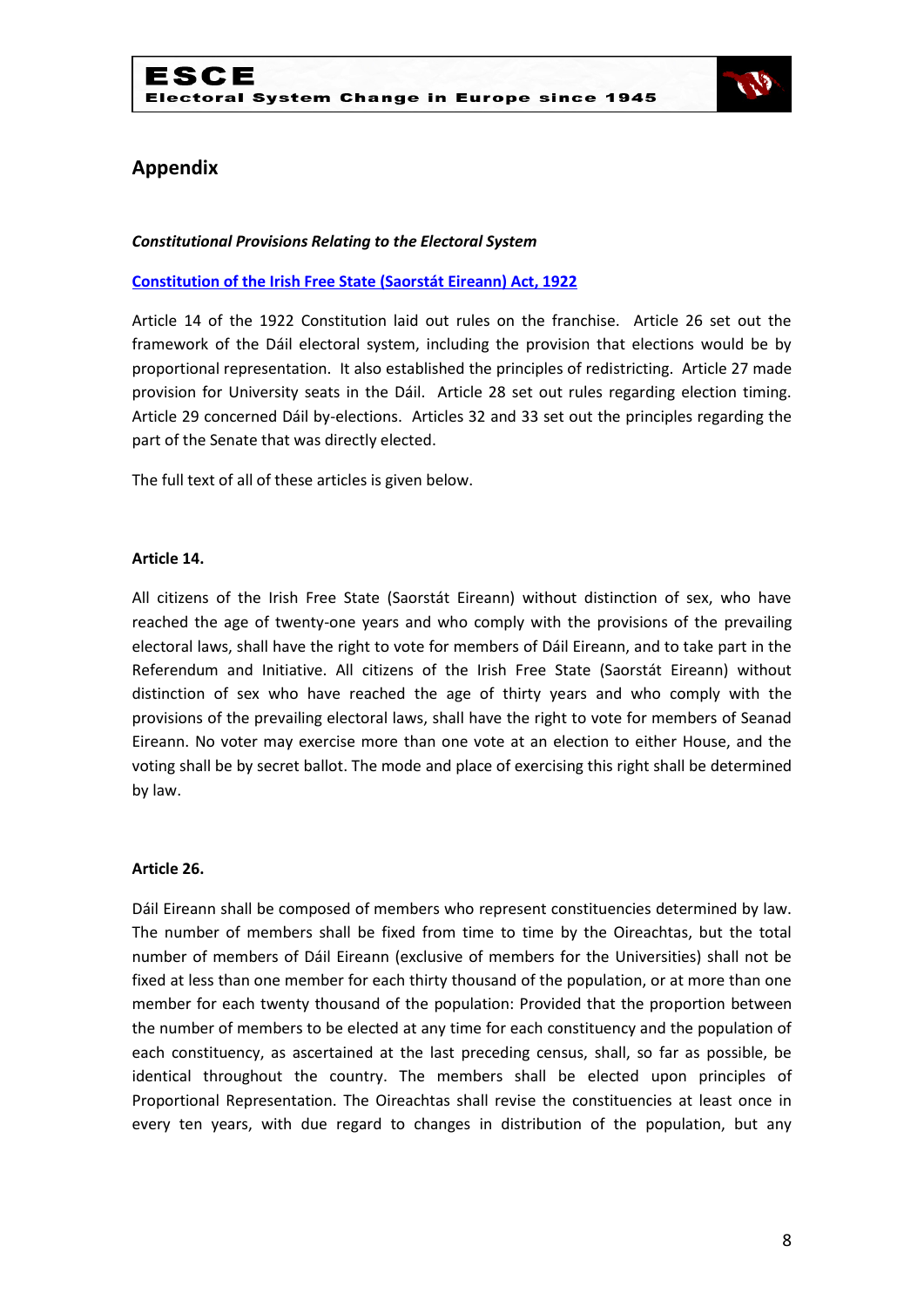

## **Appendix**

#### *Constitutional Provisions Relating to the Electoral System*

#### **[Constitution of the Irish Free State \(Saorstát Eireann\) Act, 1922](http://www.irishstatutebook.ie/1922/en/act/pub/0001/print.html)**

Article 14 of the 1922 Constitution laid out rules on the franchise. Article 26 set out the framework of the Dáil electoral system, including the provision that elections would be by proportional representation. It also established the principles of redistricting. Article 27 made provision for University seats in the Dáil. Article 28 set out rules regarding election timing. Article 29 concerned Dáil by-elections. Articles 32 and 33 set out the principles regarding the part of the Senate that was directly elected.

The full text of all of these articles is given below.

#### **Article 14.**

All citizens of the Irish Free State (Saorstát Eireann) without distinction of sex, who have reached the age of twenty-one years and who comply with the provisions of the prevailing electoral laws, shall have the right to vote for members of Dáil Eireann, and to take part in the Referendum and Initiative. All citizens of the Irish Free State (Saorstát Eireann) without distinction of sex who have reached the age of thirty years and who comply with the provisions of the prevailing electoral laws, shall have the right to vote for members of Seanad Eireann. No voter may exercise more than one vote at an election to either House, and the voting shall be by secret ballot. The mode and place of exercising this right shall be determined by law.

#### **Article 26.**

Dáil Eireann shall be composed of members who represent constituencies determined by law. The number of members shall be fixed from time to time by the Oireachtas, but the total number of members of Dáil Eireann (exclusive of members for the Universities) shall not be fixed at less than one member for each thirty thousand of the population, or at more than one member for each twenty thousand of the population: Provided that the proportion between the number of members to be elected at any time for each constituency and the population of each constituency, as ascertained at the last preceding census, shall, so far as possible, be identical throughout the country. The members shall be elected upon principles of Proportional Representation. The Oireachtas shall revise the constituencies at least once in every ten years, with due regard to changes in distribution of the population, but any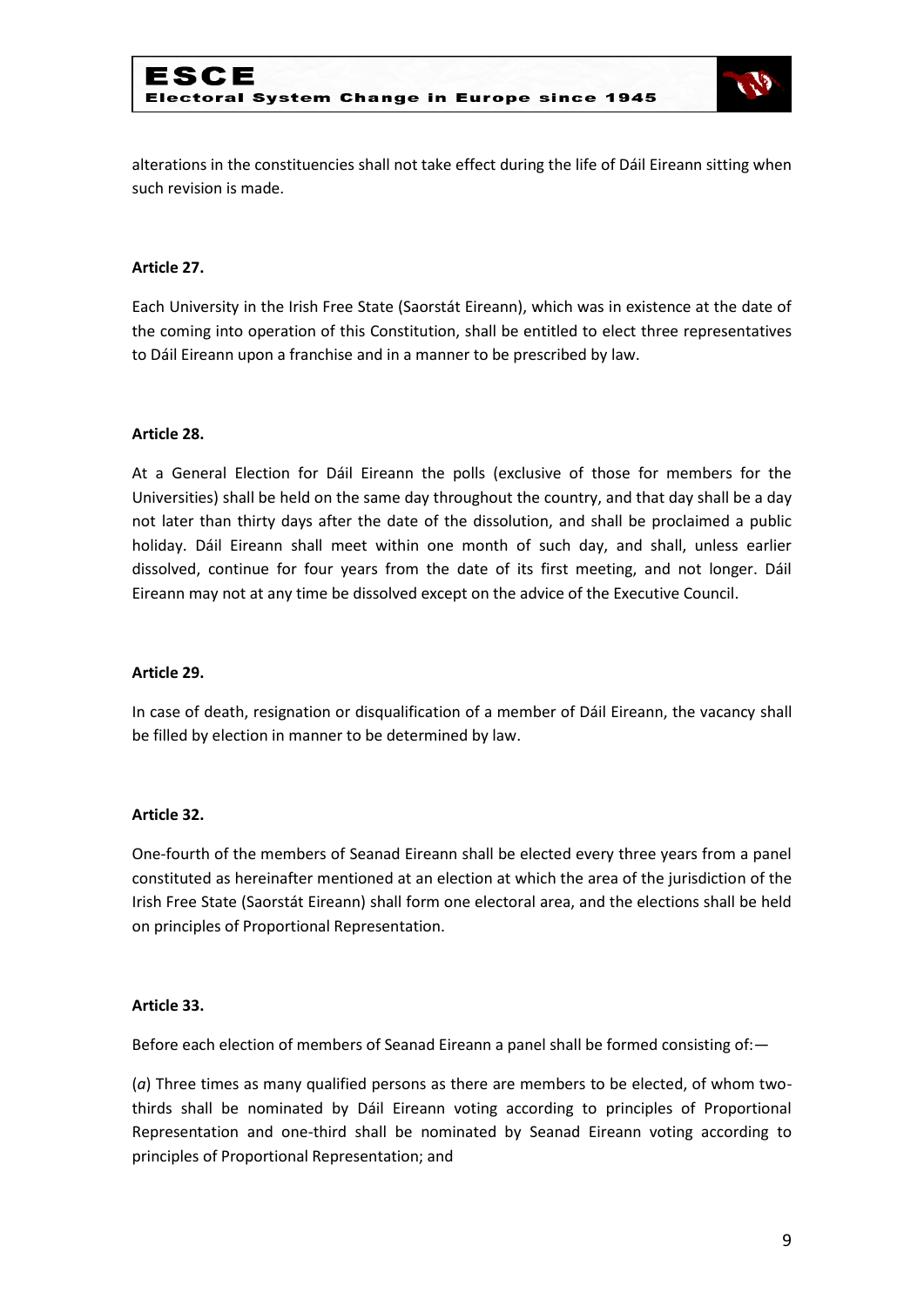

alterations in the constituencies shall not take effect during the life of Dáil Eireann sitting when such revision is made.

#### **Article 27.**

Each University in the Irish Free State (Saorstát Eireann), which was in existence at the date of the coming into operation of this Constitution, shall be entitled to elect three representatives to Dáil Eireann upon a franchise and in a manner to be prescribed by law.

#### **Article 28.**

At a General Election for Dáil Eireann the polls (exclusive of those for members for the Universities) shall be held on the same day throughout the country, and that day shall be a day not later than thirty days after the date of the dissolution, and shall be proclaimed a public holiday. Dáil Eireann shall meet within one month of such day, and shall, unless earlier dissolved, continue for four years from the date of its first meeting, and not longer. Dáil Eireann may not at any time be dissolved except on the advice of the Executive Council.

#### **Article 29.**

In case of death, resignation or disqualification of a member of Dáil Eireann, the vacancy shall be filled by election in manner to be determined by law.

#### **Article 32.**

One-fourth of the members of Seanad Eireann shall be elected every three years from a panel constituted as hereinafter mentioned at an election at which the area of the jurisdiction of the Irish Free State (Saorstát Eireann) shall form one electoral area, and the elections shall be held on principles of Proportional Representation.

#### **Article 33.**

Before each election of members of Seanad Eireann a panel shall be formed consisting of:—

(*a*) Three times as many qualified persons as there are members to be elected, of whom twothirds shall be nominated by Dáil Eireann voting according to principles of Proportional Representation and one-third shall be nominated by Seanad Eireann voting according to principles of Proportional Representation; and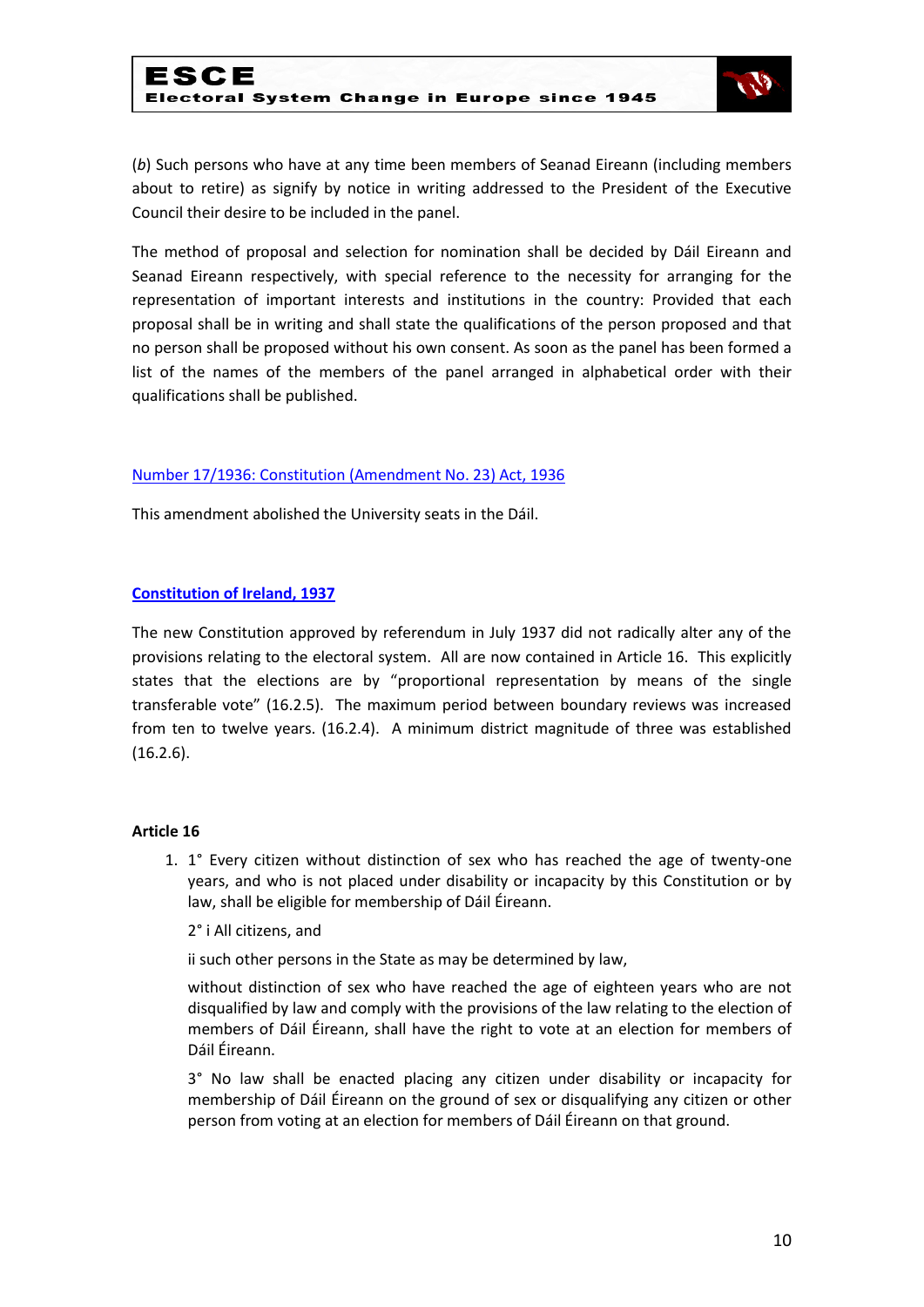

(*b*) Such persons who have at any time been members of Seanad Eireann (including members about to retire) as signify by notice in writing addressed to the President of the Executive Council their desire to be included in the panel.

The method of proposal and selection for nomination shall be decided by Dáil Eireann and Seanad Eireann respectively, with special reference to the necessity for arranging for the representation of important interests and institutions in the country: Provided that each proposal shall be in writing and shall state the qualifications of the person proposed and that no person shall be proposed without his own consent. As soon as the panel has been formed a list of the names of the members of the panel arranged in alphabetical order with their qualifications shall be published.

#### [Number 17/1936: Constitution \(Amendment No. 23\) Act, 1936](http://www.acts.ie/plweb-cgi/fastweb?state_id=1289463003&view=s0052_english_view&docrank=22&numhitsfound=31&query_rule=%28%28%28$query4%29%3C%3Dactyear%3C%3D%28$query5%29%29%20AND%20%28%28$query6%29%29%3Aactno%20AND%20%28%28$query7%29%29%3Asectionnumber%20AND%20%28%28$query1%29%29%3Alongtitle%20AND%20%28%28$query2%29%29%3Ashorttitle%20AND%20%28%28$query3%29%29%3Asidehead%20AND%20%28%28$query%29%29%29&query2=constitution&docid=11070&docdb=s0052_english&dbname=s0052_english&numresults=50&sorting=none&operator=and&TemplateName=predoc.tmpl&setCookie=1)

This amendment abolished the University seats in the Dáil.

#### **[Constitution of Ireland, 1937](http://www.constitution.ie/reports/ConstitutionofIreland.pdf)**

The new Constitution approved by referendum in July 1937 did not radically alter any of the provisions relating to the electoral system. All are now contained in Article 16. This explicitly states that the elections are by "proportional representation by means of the single transferable vote" (16.2.5). The maximum period between boundary reviews was increased from ten to twelve years. (16.2.4). A minimum district magnitude of three was established (16.2.6).

#### **Article 16**

1. 1° Every citizen without distinction of sex who has reached the age of twenty-one years, and who is not placed under disability or incapacity by this Constitution or by law, shall be eligible for membership of Dáil Éireann.

#### 2° i All citizens, and

ii such other persons in the State as may be determined by law,

without distinction of sex who have reached the age of eighteen years who are not disqualified by law and comply with the provisions of the law relating to the election of members of Dáil Éireann, shall have the right to vote at an election for members of Dáil Éireann.

3° No law shall be enacted placing any citizen under disability or incapacity for membership of Dáil Éireann on the ground of sex or disqualifying any citizen or other person from voting at an election for members of Dáil Éireann on that ground.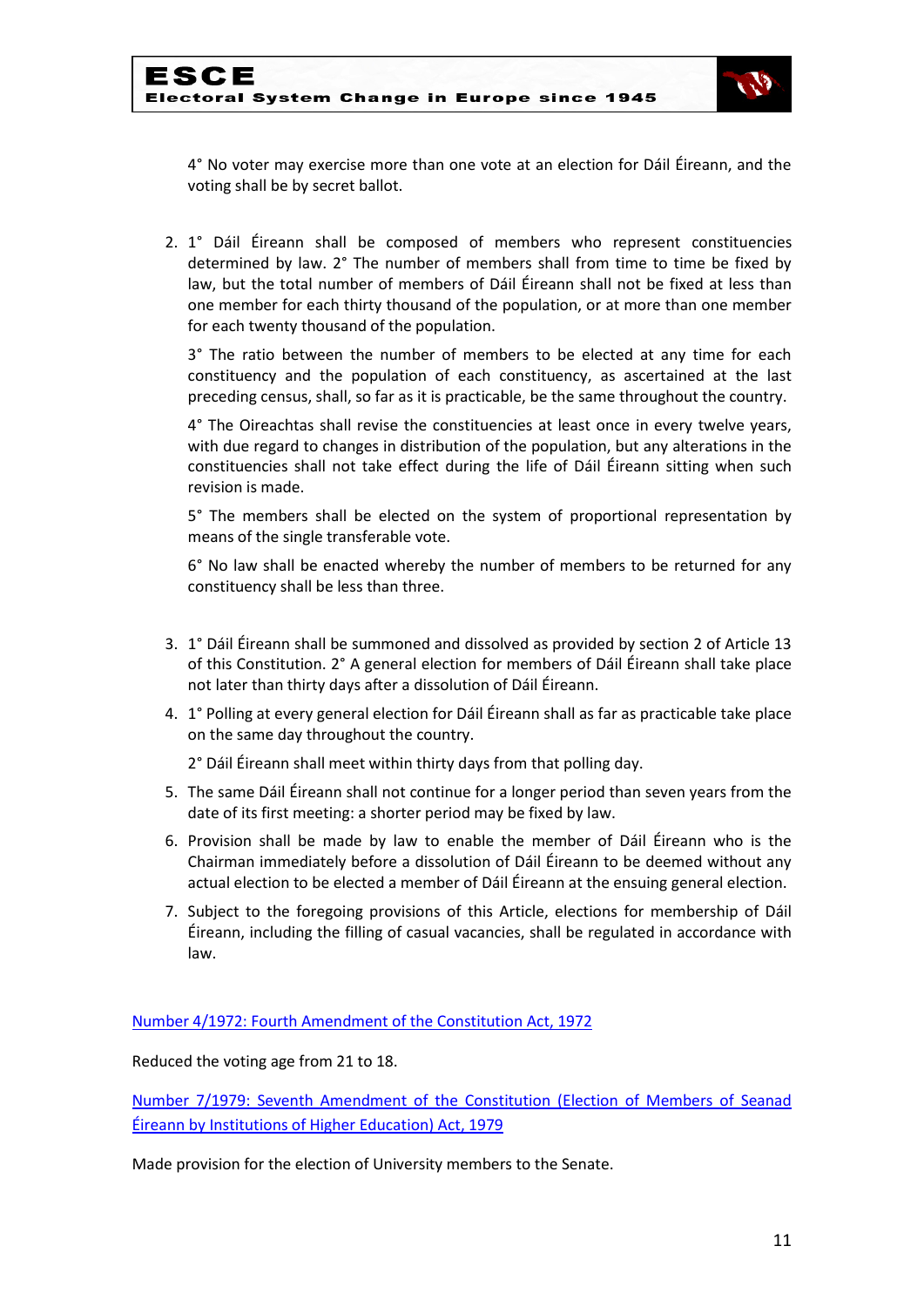

4° No voter may exercise more than one vote at an election for Dáil Éireann, and the voting shall be by secret ballot.

2. 1° Dáil Éireann shall be composed of members who represent constituencies determined by law. 2° The number of members shall from time to time be fixed by law, but the total number of members of Dáil Éireann shall not be fixed at less than one member for each thirty thousand of the population, or at more than one member for each twenty thousand of the population.

3° The ratio between the number of members to be elected at any time for each constituency and the population of each constituency, as ascertained at the last preceding census, shall, so far as it is practicable, be the same throughout the country.

4° The Oireachtas shall revise the constituencies at least once in every twelve years, with due regard to changes in distribution of the population, but any alterations in the constituencies shall not take effect during the life of Dáil Éireann sitting when such revision is made.

5° The members shall be elected on the system of proportional representation by means of the single transferable vote.

6° No law shall be enacted whereby the number of members to be returned for any constituency shall be less than three.

- 3. 1° Dáil Éireann shall be summoned and dissolved as provided by section 2 of Article 13 of this Constitution. 2° A general election for members of Dáil Éireann shall take place not later than thirty days after a dissolution of Dáil Éireann.
- 4. 1° Polling at every general election for Dáil Éireann shall as far as practicable take place on the same day throughout the country.
	- 2° Dáil Éireann shall meet within thirty days from that polling day.
- 5. The same Dáil Éireann shall not continue for a longer period than seven years from the date of its first meeting: a shorter period may be fixed by law.
- 6. Provision shall be made by law to enable the member of Dáil Éireann who is the Chairman immediately before a dissolution of Dáil Éireann to be deemed without any actual election to be elected a member of Dáil Éireann at the ensuing general election.
- 7. Subject to the foregoing provisions of this Article, elections for membership of Dáil Éireann, including the filling of casual vacancies, shall be regulated in accordance with law.

[Number 4/1972: Fourth Amendment of the Constitution Act, 1972](http://www.acts.ie/plweb-cgi/fastweb?state_id=1289463628&view=s0052_english_view&docrank=17&numhitsfound=75&query_rule=%28%28%28$query4%29%3C%3Dactyear%3C%3D%28$query5%29%29%20AND%20%28%28$query6%29%29%3Aactno%20AND%20%28%28$query7%29%29%3Asectionnumber%20AND%20%28%28$query1%29%29%3Alongtitle%20AND%20%28%28$query2%29%29%3Ashorttitle%20AND%20%28%28$query3%29%29%3Asidehead%20AND%20%28%28$query%29%29%29&query1=constitution&docid=11079&docdb=s0052_english&dbname=s0052_english&numresults=100&sorting=none&operator=and&TemplateName=predoc.tmpl&setCookie=1)

Reduced the voting age from 21 to 18.

[Number 7/1979: Seventh Amendment of the Constitution \(Election of Members of Seanad](http://www.acts.ie/plweb-cgi/fastweb?state_id=1289467004&view=s0052_english_view&docrank=14&numhitsfound=75&query_rule=%28%28%28$query4%29%3C%3Dactyear%3C%3D%28$query5%29%29%20AND%20%28%28$query6%29%29%3Aactno%20AND%20%28%28$query7%29%29%3Asectionnumber%20AND%20%28%28$query1%29%29%3Alongtitle%20AND%20%28%28$query2%29%29%3Ashorttitle%20AND%20%28%28$query3%29%29%3Asidehead%20AND%20%28%28$query%29%29%29&query1=constitution&docid=11083&docdb=s0052_english&dbname=s0052_english&numresults=100&sorting=none&operator=and&TemplateName=predoc.tmpl&setCookie=1)  [Éireann by Institutions of Higher Education\) Act, 1979](http://www.acts.ie/plweb-cgi/fastweb?state_id=1289467004&view=s0052_english_view&docrank=14&numhitsfound=75&query_rule=%28%28%28$query4%29%3C%3Dactyear%3C%3D%28$query5%29%29%20AND%20%28%28$query6%29%29%3Aactno%20AND%20%28%28$query7%29%29%3Asectionnumber%20AND%20%28%28$query1%29%29%3Alongtitle%20AND%20%28%28$query2%29%29%3Ashorttitle%20AND%20%28%28$query3%29%29%3Asidehead%20AND%20%28%28$query%29%29%29&query1=constitution&docid=11083&docdb=s0052_english&dbname=s0052_english&numresults=100&sorting=none&operator=and&TemplateName=predoc.tmpl&setCookie=1)

Made provision for the election of University members to the Senate.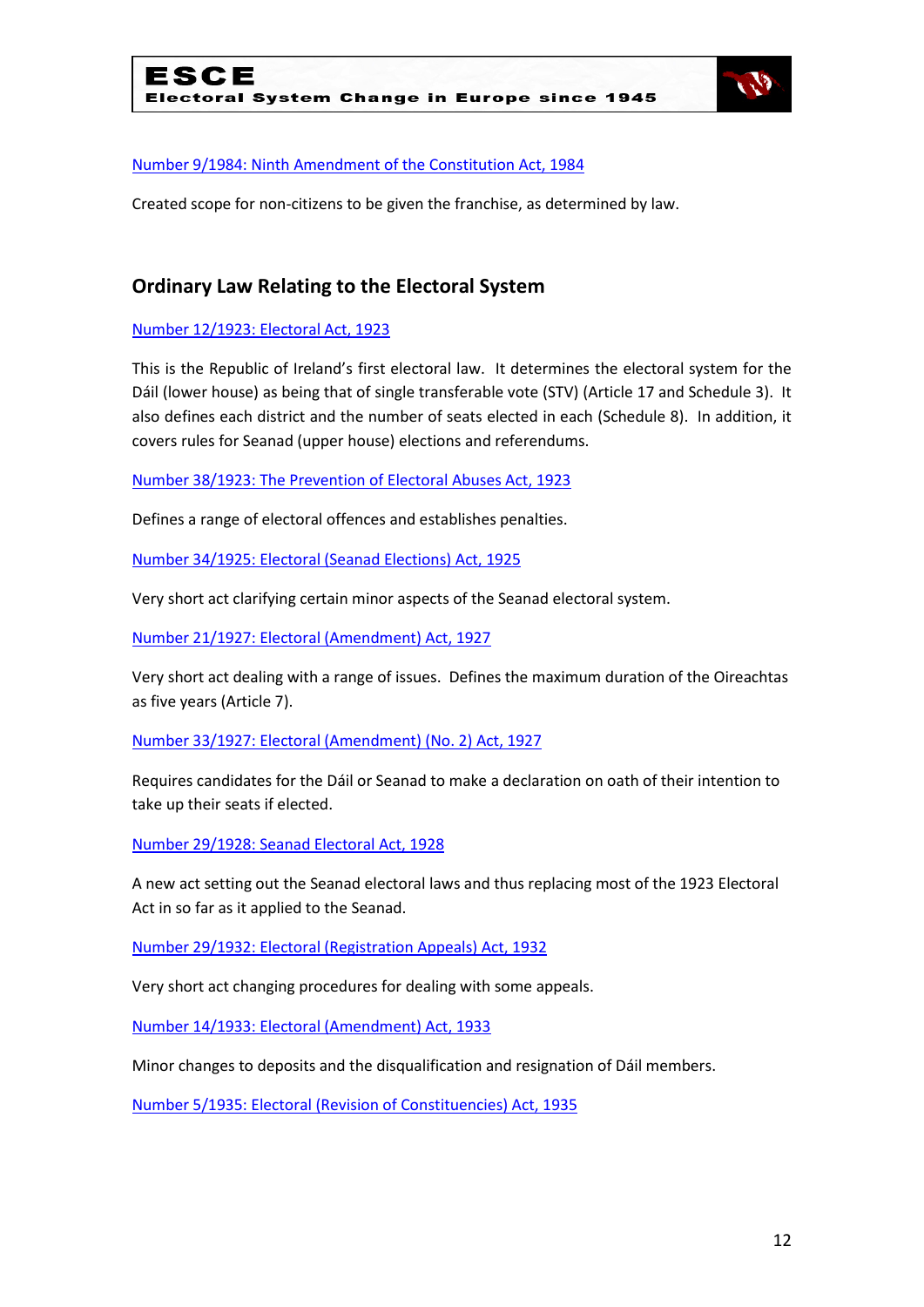

#### [Number 9/1984: Ninth Amendment of the Constitution Act, 1984](http://www.acts.ie/plweb-cgi/fastweb?state_id=1289467004&view=s0052_english_view&docrank=12&numhitsfound=75&query_rule=%28%28%28$query4%29%3C%3Dactyear%3C%3D%28$query5%29%29%20AND%20%28%28$query6%29%29%3Aactno%20AND%20%28%28$query7%29%29%3Asectionnumber%20AND%20%28%28$query1%29%29%3Alongtitle%20AND%20%28%28$query2%29%29%3Ashorttitle%20AND%20%28%28$query3%29%29%3Asidehead%20AND%20%28%28$query%29%29%29&query1=constitution&docid=11087&docdb=s0052_english&dbname=s0052_english&numresults=100&sorting=none&operator=and&TemplateName=predoc.tmpl&setCookie=1)

Created scope for non-citizens to be given the franchise, as determined by law.

### **Ordinary Law Relating to the Electoral System**

[Number 12/1923: Electoral Act, 1923](http://www.acts.ie/plweb-cgi/fastweb?state_id=1288196558&view=s0052_english_view&docrank=50&numhitsfound=51&query_rule=%28%28%28$query4%29%3C%3Dactyear%3C%3D%28$query5%29%29%20AND%20%28%28$query6%29%29%3Aactno%20AND%20%28%28$query7%29%29%3Asectionnumber%20AND%20%28%28$query1%29%29%3Alongtitle%20AND%20%28%28$query2%29%29%3Ashorttitle%20AND%20%28%28$query3%29%29%3Asidehead%20AND%20%28%28$query%29%29%29&query2=electoral&query4=1922&query5=2010&docid=34&docdb=s0052_english&dbname=s0052_english&numresults=100&sorting=none&operator=and&TemplateName=predoc.tmpl&setCookie=1)

This is the Republic of Ireland's first electoral law. It determines the electoral system for the Dáil (lower house) as being that of single transferable vote (STV) (Article 17 and Schedule 3). It also defines each district and the number of seats elected in each (Schedule 8). In addition, it covers rules for Seanad (upper house) elections and referendums.

[Number 38/1923: The Prevention of Electoral Abuses Act, 1923](http://www.acts.ie/plweb-cgi/fastweb?state_id=1288196558&view=s0052_english_view&docrank=49&numhitsfound=51&query_rule=%28%28%28$query4%29%3C%3Dactyear%3C%3D%28$query5%29%29%20AND%20%28%28$query6%29%29%3Aactno%20AND%20%28%28$query7%29%29%3Asectionnumber%20AND%20%28%28$query1%29%29%3Alongtitle%20AND%20%28%28$query2%29%29%3Ashorttitle%20AND%20%28%28$query3%29%29%3Asidehead%20AND%20%28%28$query%29%29%29&query2=electoral&query4=1922&query5=2010&docid=138&docdb=s0052_english&dbname=s0052_english&numresults=100&sorting=none&operator=and&TemplateName=predoc.tmpl&setCookie=1)

Defines a range of electoral offences and establishes penalties.

[Number 34/1925: Electoral \(Seanad Elections\) Act, 1925](http://www.acts.ie/plweb-cgi/fastweb?state_id=1288196558&view=s0052_english_view&docrank=48&numhitsfound=51&query_rule=%28%28%28$query4%29%3C%3Dactyear%3C%3D%28$query5%29%29%20AND%20%28%28$query6%29%29%3Aactno%20AND%20%28%28$query7%29%29%3Asectionnumber%20AND%20%28%28$query1%29%29%3Alongtitle%20AND%20%28%28$query2%29%29%3Ashorttitle%20AND%20%28%28$query3%29%29%3Asidehead%20AND%20%28%28$query%29%29%29&query2=electoral&query4=1922&query5=2010&docid=400&docdb=s0052_english&dbname=s0052_english&numresults=100&sorting=none&operator=and&TemplateName=predoc.tmpl&setCookie=1)

Very short act clarifying certain minor aspects of the Seanad electoral system.

[Number 21/1927: Electoral \(Amendment\) Act, 1927](http://www.acts.ie/plweb-cgi/fastweb?state_id=1288196558&view=s0052_english_view&docrank=47&numhitsfound=51&query_rule=%28%28%28$query4%29%3C%3Dactyear%3C%3D%28$query5%29%29%20AND%20%28%28$query6%29%29%3Aactno%20AND%20%28%28$query7%29%29%3Asectionnumber%20AND%20%28%28$query1%29%29%3Alongtitle%20AND%20%28%28$query2%29%29%3Ashorttitle%20AND%20%28%28$query3%29%29%3Asidehead%20AND%20%28%28$query%29%29%29&query2=electoral&query4=1922&query5=2010&docid=540&docdb=s0052_english&dbname=s0052_english&numresults=100&sorting=none&operator=and&TemplateName=predoc.tmpl&setCookie=1)

Very short act dealing with a range of issues. Defines the maximum duration of the Oireachtas as five years (Article 7).

[Number 33/1927: Electoral \(Amendment\) \(No. 2\) Act, 1927](http://www.acts.ie/plweb-cgi/fastweb?state_id=1288196558&view=s0052_english_view&docrank=46&numhitsfound=51&query_rule=%28%28%28$query4%29%3C%3Dactyear%3C%3D%28$query5%29%29%20AND%20%28%28$query6%29%29%3Aactno%20AND%20%28%28$query7%29%29%3Asectionnumber%20AND%20%28%28$query1%29%29%3Alongtitle%20AND%20%28%28$query2%29%29%3Ashorttitle%20AND%20%28%28$query3%29%29%3Asidehead%20AND%20%28%28$query%29%29%29&query2=electoral&query4=1922&query5=2010&docid=594&docdb=s0052_english&dbname=s0052_english&numresults=100&sorting=none&operator=and&TemplateName=predoc.tmpl&setCookie=1)

Requires candidates for the Dáil or Seanad to make a declaration on oath of their intention to take up their seats if elected.

[Number 29/1928: Seanad Electoral Act, 1928](http://www.acts.ie/plweb-cgi/fastweb?state_id=1288196558&view=s0052_english_view&docrank=45&numhitsfound=51&query_rule=%28%28%28$query4%29%3C%3Dactyear%3C%3D%28$query5%29%29%20AND%20%28%28$query6%29%29%3Aactno%20AND%20%28%28$query7%29%29%3Asectionnumber%20AND%20%28%28$query1%29%29%3Alongtitle%20AND%20%28%28$query2%29%29%3Ashorttitle%20AND%20%28%28$query3%29%29%3Asidehead%20AND%20%28%28$query%29%29%29&query2=electoral&query4=1922&query5=2010&docid=653&docdb=s0052_english&dbname=s0052_english&numresults=100&sorting=none&operator=and&TemplateName=predoc.tmpl&setCookie=1)

A new act setting out the Seanad electoral laws and thus replacing most of the 1923 Electoral Act in so far as it applied to the Seanad.

[Number 29/1932: Electoral \(Registration Appeals\) Act, 1932](http://www.acts.ie/plweb-cgi/fastweb?state_id=1288196558&view=s0052_english_view&docrank=43&numhitsfound=51&query_rule=%28%28%28$query4%29%3C%3Dactyear%3C%3D%28$query5%29%29%20AND%20%28%28$query6%29%29%3Aactno%20AND%20%28%28$query7%29%29%3Asectionnumber%20AND%20%28%28$query1%29%29%3Alongtitle%20AND%20%28%28$query2%29%29%3Ashorttitle%20AND%20%28%28$query3%29%29%3Asidehead%20AND%20%28%28$query%29%29%29&query2=electoral&query4=1922&query5=2010&docid=1050&docdb=s0052_english&dbname=s0052_english&numresults=100&sorting=none&operator=and&TemplateName=predoc.tmpl&setCookie=1)

Very short act changing procedures for dealing with some appeals.

[Number 14/1933: Electoral \(Amendment\) Act, 1933](http://www.acts.ie/plweb-cgi/fastweb?state_id=1288196558&view=s0052_english_view&docrank=42&numhitsfound=51&query_rule=%28%28%28$query4%29%3C%3Dactyear%3C%3D%28$query5%29%29%20AND%20%28%28$query6%29%29%3Aactno%20AND%20%28%28$query7%29%29%3Asectionnumber%20AND%20%28%28$query1%29%29%3Alongtitle%20AND%20%28%28$query2%29%29%3Ashorttitle%20AND%20%28%28$query3%29%29%3Asidehead%20AND%20%28%28$query%29%29%29&query2=electoral&query4=1922&query5=2010&docid=1121&docdb=s0052_english&dbname=s0052_english&numresults=100&sorting=none&operator=and&TemplateName=predoc.tmpl&setCookie=1)

Minor changes to deposits and the disqualification and resignation of Dáil members.

[Number 5/1935: Electoral \(Revision of Constituencies\) Act, 1935](http://www.acts.ie/plweb-cgi/fastweb?state_id=1288196558&view=s0052_english_view&docrank=41&numhitsfound=51&query_rule=%28%28%28$query4%29%3C%3Dactyear%3C%3D%28$query5%29%29%20AND%20%28%28$query6%29%29%3Aactno%20AND%20%28%28$query7%29%29%3Asectionnumber%20AND%20%28%28$query1%29%29%3Alongtitle%20AND%20%28%28$query2%29%29%3Ashorttitle%20AND%20%28%28$query3%29%29%3Asidehead%20AND%20%28%28$query%29%29%29&query2=electoral&query4=1922&query5=2010&docid=1386&docdb=s0052_english&dbname=s0052_english&numresults=100&sorting=none&operator=and&TemplateName=predoc.tmpl&setCookie=1)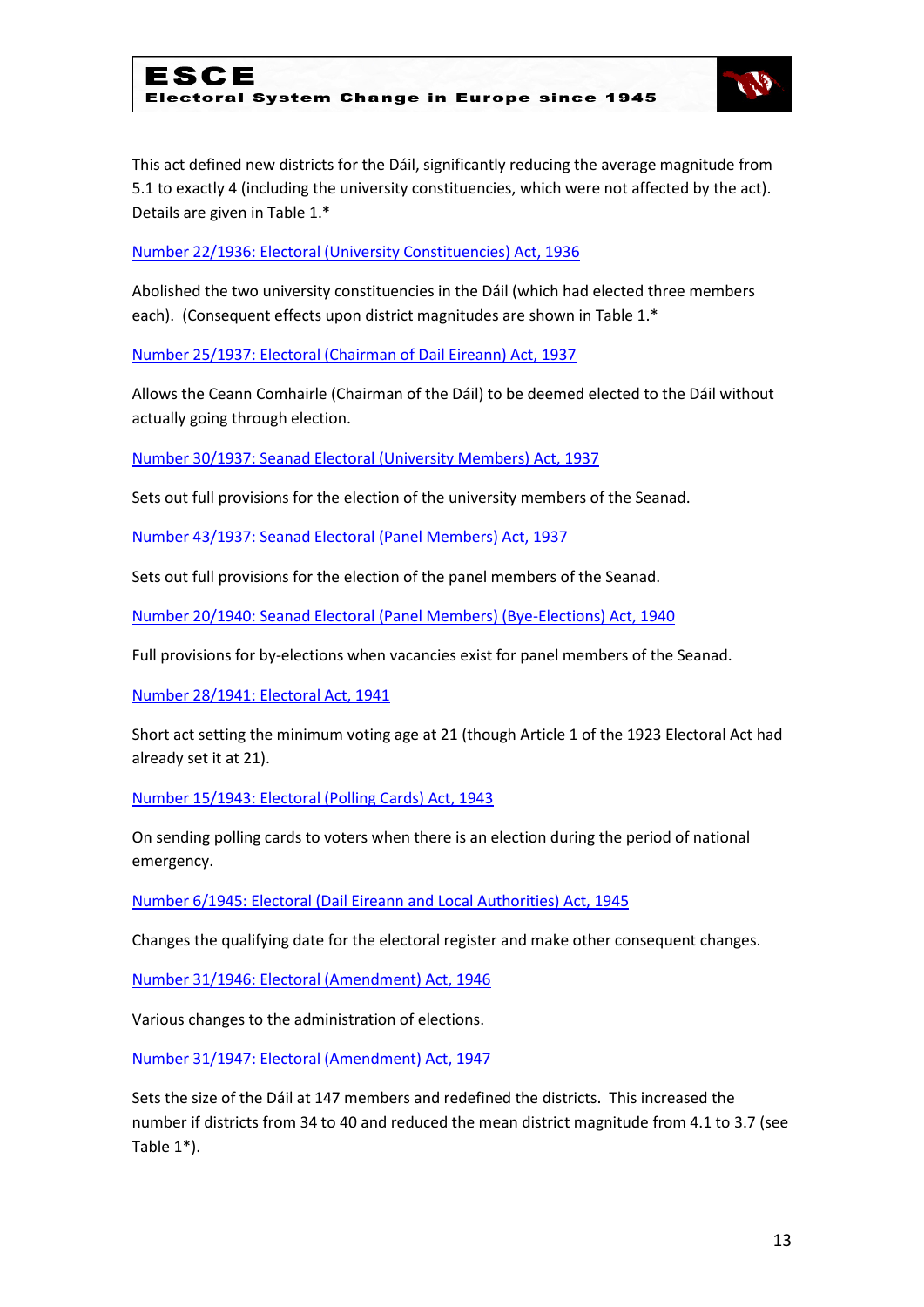

This act defined new districts for the Dáil, significantly reducing the average magnitude from 5.1 to exactly 4 (including the university constituencies, which were not affected by the act). Details are given in Table 1.\*

[Number 22/1936: Electoral \(University Constituencies\) Act, 1936](http://www.acts.ie/plweb-cgi/fastweb?state_id=1288196558&view=s0052_english_view&docrank=40&numhitsfound=51&query_rule=%28%28%28$query4%29%3C%3Dactyear%3C%3D%28$query5%29%29%20AND%20%28%28$query6%29%29%3Aactno%20AND%20%28%28$query7%29%29%3Asectionnumber%20AND%20%28%28$query1%29%29%3Alongtitle%20AND%20%28%28$query2%29%29%3Ashorttitle%20AND%20%28%28$query3%29%29%3Asidehead%20AND%20%28%28$query%29%29%29&query2=electoral&query4=1922&query5=2010&docid=1540&docdb=s0052_english&dbname=s0052_english&numresults=100&sorting=none&operator=and&TemplateName=predoc.tmpl&setCookie=1)

Abolished the two university constituencies in the Dáil (which had elected three members each). (Consequent effects upon district magnitudes are shown in Table 1.\*

[Number 25/1937: Electoral \(Chairman of Dail Eireann\) Act, 1937](http://www.acts.ie/plweb-cgi/fastweb?state_id=1288196558&view=s0052_english_view&docrank=39&numhitsfound=51&query_rule=%28%28%28$query4%29%3C%3Dactyear%3C%3D%28$query5%29%29%20AND%20%28%28$query6%29%29%3Aactno%20AND%20%28%28$query7%29%29%3Asectionnumber%20AND%20%28%28$query1%29%29%3Alongtitle%20AND%20%28%28$query2%29%29%3Ashorttitle%20AND%20%28%28$query3%29%29%3Asidehead%20AND%20%28%28$query%29%29%29&query2=electoral&query4=1922&query5=2010&docid=1708&docdb=s0052_english&dbname=s0052_english&numresults=100&sorting=none&operator=and&TemplateName=predoc.tmpl&setCookie=1)

Allows the Ceann Comhairle (Chairman of the Dáil) to be deemed elected to the Dáil without actually going through election.

[Number 30/1937: Seanad Electoral \(University Members\) Act, 1937](http://www.acts.ie/plweb-cgi/fastweb?state_id=1288196558&view=s0052_english_view&docrank=38&numhitsfound=51&query_rule=%28%28%28$query4%29%3C%3Dactyear%3C%3D%28$query5%29%29%20AND%20%28%28$query6%29%29%3Aactno%20AND%20%28%28$query7%29%29%3Asectionnumber%20AND%20%28%28$query1%29%29%3Alongtitle%20AND%20%28%28$query2%29%29%3Ashorttitle%20AND%20%28%28$query3%29%29%3Asidehead%20AND%20%28%28$query%29%29%29&query2=electoral&query4=1922&query5=2010&docid=1720&docdb=s0052_english&dbname=s0052_english&numresults=100&sorting=none&operator=and&TemplateName=predoc.tmpl&setCookie=1)

Sets out full provisions for the election of the university members of the Seanad.

[Number 43/1937: Seanad Electoral \(Panel Members\) Act, 1937](http://www.acts.ie/plweb-cgi/fastweb?state_id=1288196558&view=s0052_english_view&docrank=37&numhitsfound=51&query_rule=%28%28%28$query4%29%3C%3Dactyear%3C%3D%28$query5%29%29%20AND%20%28%28$query6%29%29%3Aactno%20AND%20%28%28$query7%29%29%3Asectionnumber%20AND%20%28%28$query1%29%29%3Alongtitle%20AND%20%28%28$query2%29%29%3Ashorttitle%20AND%20%28%28$query3%29%29%3Asidehead%20AND%20%28%28$query%29%29%29&query2=electoral&query4=1922&query5=2010&docid=1759&docdb=s0052_english&dbname=s0052_english&numresults=100&sorting=none&operator=and&TemplateName=predoc.tmpl&setCookie=1)

Sets out full provisions for the election of the panel members of the Seanad.

[Number 20/1940: Seanad Electoral \(Panel Members\) \(Bye-Elections\) Act, 1940](http://www.acts.ie/plweb-cgi/fastweb?state_id=1288196558&view=s0052_english_view&docrank=36&numhitsfound=51&query_rule=%28%28%28$query4%29%3C%3Dactyear%3C%3D%28$query5%29%29%20AND%20%28%28$query6%29%29%3Aactno%20AND%20%28%28$query7%29%29%3Asectionnumber%20AND%20%28%28$query1%29%29%3Alongtitle%20AND%20%28%28$query2%29%29%3Ashorttitle%20AND%20%28%28$query3%29%29%3Asidehead%20AND%20%28%28$query%29%29%29&query2=electoral&query4=1922&query5=2010&docid=2044&docdb=s0052_english&dbname=s0052_english&numresults=100&sorting=none&operator=and&TemplateName=predoc.tmpl&setCookie=1)

Full provisions for by-elections when vacancies exist for panel members of the Seanad.

[Number 28/1941: Electoral Act, 1941](http://www.acts.ie/plweb-cgi/fastweb?state_id=1288196558&view=s0052_english_view&docrank=35&numhitsfound=51&query_rule=%28%28%28$query4%29%3C%3Dactyear%3C%3D%28$query5%29%29%20AND%20%28%28$query6%29%29%3Aactno%20AND%20%28%28$query7%29%29%3Asectionnumber%20AND%20%28%28$query1%29%29%3Alongtitle%20AND%20%28%28$query2%29%29%3Ashorttitle%20AND%20%28%28$query3%29%29%3Asidehead%20AND%20%28%28$query%29%29%29&query2=electoral&query4=1922&query5=2010&docid=2148&docdb=s0052_english&dbname=s0052_english&numresults=100&sorting=none&operator=and&TemplateName=predoc.tmpl&setCookie=1)

Short act setting the minimum voting age at 21 (though Article 1 of the 1923 Electoral Act had already set it at 21).

[Number 15/1943: Electoral \(Polling Cards\) Act, 1943](http://www.acts.ie/plweb-cgi/fastweb?state_id=1288196558&view=s0052_english_view&docrank=34&numhitsfound=51&query_rule=%28%28%28$query4%29%3C%3Dactyear%3C%3D%28$query5%29%29%20AND%20%28%28$query6%29%29%3Aactno%20AND%20%28%28$query7%29%29%3Asectionnumber%20AND%20%28%28$query1%29%29%3Alongtitle%20AND%20%28%28$query2%29%29%3Ashorttitle%20AND%20%28%28$query3%29%29%3Asidehead%20AND%20%28%28$query%29%29%29&query2=electoral&query4=1922&query5=2010&docid=2260&docdb=s0052_english&dbname=s0052_english&numresults=100&sorting=none&operator=and&TemplateName=predoc.tmpl&setCookie=1)

On sending polling cards to voters when there is an election during the period of national emergency.

[Number 6/1945: Electoral \(Dail Eireann and Local Authorities\) Act, 1945](http://www.acts.ie/plweb-cgi/fastweb?state_id=1288196558&view=s0052_english_view&docrank=33&numhitsfound=51&query_rule=%28%28%28$query4%29%3C%3Dactyear%3C%3D%28$query5%29%29%20AND%20%28%28$query6%29%29%3Aactno%20AND%20%28%28$query7%29%29%3Asectionnumber%20AND%20%28%28$query1%29%29%3Alongtitle%20AND%20%28%28$query2%29%29%3Ashorttitle%20AND%20%28%28$query3%29%29%3Asidehead%20AND%20%28%28$query%29%29%29&query2=electoral&query4=1922&query5=2010&docid=2370&docdb=s0052_english&dbname=s0052_english&numresults=100&sorting=none&operator=and&TemplateName=predoc.tmpl&setCookie=1)

Changes the qualifying date for the electoral register and make other consequent changes.

[Number 31/1946: Electoral \(Amendment\) Act, 1946](http://www.acts.ie/plweb-cgi/fastweb?state_id=1288196558&view=s0052_english_view&docrank=32&numhitsfound=51&query_rule=%28%28%28$query4%29%3C%3Dactyear%3C%3D%28$query5%29%29%20AND%20%28%28$query6%29%29%3Aactno%20AND%20%28%28$query7%29%29%3Asectionnumber%20AND%20%28%28$query1%29%29%3Alongtitle%20AND%20%28%28$query2%29%29%3Ashorttitle%20AND%20%28%28$query3%29%29%3Asidehead%20AND%20%28%28$query%29%29%29&query2=electoral&query4=1922&query5=2010&docid=2597&docdb=s0052_english&dbname=s0052_english&numresults=100&sorting=none&operator=and&TemplateName=predoc.tmpl&setCookie=1)

Various changes to the administration of elections.

Number [31/1947: Electoral \(Amendment\) Act, 1947](http://www.acts.ie/plweb-cgi/fastweb?state_id=1288196558&view=s0052_english_view&docrank=31&numhitsfound=51&query_rule=%28%28%28$query4%29%3C%3Dactyear%3C%3D%28$query5%29%29%20AND%20%28%28$query6%29%29%3Aactno%20AND%20%28%28$query7%29%29%3Asectionnumber%20AND%20%28%28$query1%29%29%3Alongtitle%20AND%20%28%28$query2%29%29%3Ashorttitle%20AND%20%28%28$query3%29%29%3Asidehead%20AND%20%28%28$query%29%29%29&query2=electoral&query4=1922&query5=2010&docid=2709&docdb=s0052_english&dbname=s0052_english&numresults=100&sorting=none&operator=and&TemplateName=predoc.tmpl&setCookie=1)

Sets the size of the Dáil at 147 members and redefined the districts. This increased the number if districts from 34 to 40 and reduced the mean district magnitude from 4.1 to 3.7 (see Table 1\*).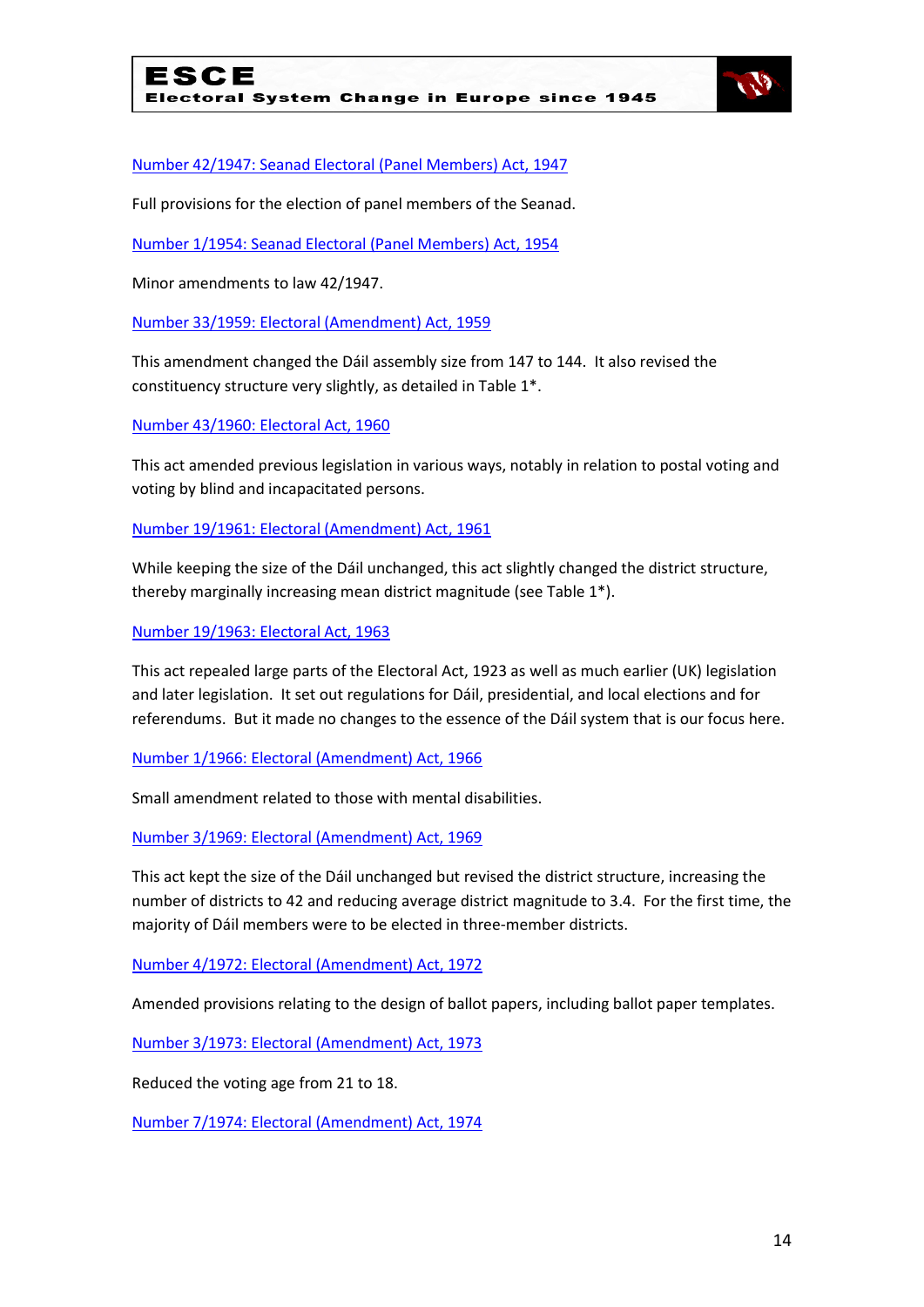

[Number 42/1947: Seanad Electoral \(Panel Members\) Act, 1947](http://www.acts.ie/plweb-cgi/fastweb?state_id=1288196558&view=s0052_english_view&docrank=30&numhitsfound=51&query_rule=%28%28%28$query4%29%3C%3Dactyear%3C%3D%28$query5%29%29%20AND%20%28%28$query6%29%29%3Aactno%20AND%20%28%28$query7%29%29%3Asectionnumber%20AND%20%28%28$query1%29%29%3Alongtitle%20AND%20%28%28$query2%29%29%3Ashorttitle%20AND%20%28%28$query3%29%29%3Asidehead%20AND%20%28%28$query%29%29%29&query2=electoral&query4=1922&query5=2010&docid=2732&docdb=s0052_english&dbname=s0052_english&numresults=100&sorting=none&operator=and&TemplateName=predoc.tmpl&setCookie=1)

Full provisions for the election of panel members of the Seanad.

[Number 1/1954: Seanad Electoral \(Panel Members\) Act, 1954](http://www.acts.ie/plweb-cgi/fastweb?state_id=1288196558&view=s0052_english_view&docrank=29&numhitsfound=51&query_rule=%28%28%28$query4%29%3C%3Dactyear%3C%3D%28$query5%29%29%20AND%20%28%28$query6%29%29%3Aactno%20AND%20%28%28$query7%29%29%3Asectionnumber%20AND%20%28%28$query1%29%29%3Alongtitle%20AND%20%28%28$query2%29%29%3Ashorttitle%20AND%20%28%28$query3%29%29%3Asidehead%20AND%20%28%28$query%29%29%29&query2=electoral&query4=1922&query5=2010&docid=3310&docdb=s0052_english&dbname=s0052_english&numresults=100&sorting=none&operator=and&TemplateName=predoc.tmpl&setCookie=1)

Minor amendments to law 42/1947.

[Number 33/1959: Electoral \(Amendment\) Act, 1959](http://www.acts.ie/plweb-cgi/fastweb?state_id=1288196558&view=s0052_english_view&docrank=28&numhitsfound=51&query_rule=%28%28%28$query4%29%3C%3Dactyear%3C%3D%28$query5%29%29%20AND%20%28%28$query6%29%29%3Aactno%20AND%20%28%28$query7%29%29%3Asectionnumber%20AND%20%28%28$query1%29%29%3Alongtitle%20AND%20%28%28$query2%29%29%3Ashorttitle%20AND%20%28%28$query3%29%29%3Asidehead%20AND%20%28%28$query%29%29%29&query2=electoral&query4=1922&query5=2010&docid=3993&docdb=s0052_english&dbname=s0052_english&numresults=100&sorting=none&operator=and&TemplateName=predoc.tmpl&setCookie=1)

This amendment changed the Dáil assembly size from 147 to 144. It also revised the constituency structure very slightly, as detailed in Table 1\*.

[Number 43/1960: Electoral Act, 1960](http://www.acts.ie/plweb-cgi/fastweb?state_id=1288196558&view=s0052_english_view&docrank=27&numhitsfound=51&query_rule=%28%28%28$query4%29%3C%3Dactyear%3C%3D%28$query5%29%29%20AND%20%28%28$query6%29%29%3Aactno%20AND%20%28%28$query7%29%29%3Asectionnumber%20AND%20%28%28$query1%29%29%3Alongtitle%20AND%20%28%28$query2%29%29%3Ashorttitle%20AND%20%28%28$query3%29%29%3Asidehead%20AND%20%28%28$query%29%29%29&query2=electoral&query4=1922&query5=2010&docid=4141&docdb=s0052_english&dbname=s0052_english&numresults=100&sorting=none&operator=and&TemplateName=predoc.tmpl&setCookie=1)

This act amended previous legislation in various ways, notably in relation to postal voting and voting by blind and incapacitated persons.

[Number 19/1961: Electoral \(Amendment\) Act, 1961](http://www.acts.ie/plweb-cgi/fastweb?state_id=1288196558&view=s0052_english_view&docrank=26&numhitsfound=51&query_rule=%28%28%28$query4%29%3C%3Dactyear%3C%3D%28$query5%29%29%20AND%20%28%28$query6%29%29%3Aactno%20AND%20%28%28$query7%29%29%3Asectionnumber%20AND%20%28%28$query1%29%29%3Alongtitle%20AND%20%28%28$query2%29%29%3Ashorttitle%20AND%20%28%28$query3%29%29%3Asidehead%20AND%20%28%28$query%29%29%29&query2=electoral&query4=1922&query5=2010&docid=4189&docdb=s0052_english&dbname=s0052_english&numresults=100&sorting=none&operator=and&TemplateName=predoc.tmpl&setCookie=1)

While keeping the size of the Dáil unchanged, this act slightly changed the district structure, thereby marginally increasing mean district magnitude (see Table 1\*).

[Number 19/1963: Electoral Act, 1963](http://www.acts.ie/plweb-cgi/fastweb?state_id=1288196558&view=s0052_english_view&docrank=25&numhitsfound=51&query_rule=%28%28%28$query4%29%3C%3Dactyear%3C%3D%28$query5%29%29%20AND%20%28%28$query6%29%29%3Aactno%20AND%20%28%28$query7%29%29%3Asectionnumber%20AND%20%28%28$query1%29%29%3Alongtitle%20AND%20%28%28$query2%29%29%3Ashorttitle%20AND%20%28%28$query3%29%29%3Asidehead%20AND%20%28%28$query%29%29%29&query2=electoral&query4=1922&query5=2010&docid=4403&docdb=s0052_english&dbname=s0052_english&numresults=100&sorting=none&operator=and&TemplateName=predoc.tmpl&setCookie=1)

This act repealed large parts of the Electoral Act, 1923 as well as much earlier (UK) legislation and later legislation. It set out regulations for Dáil, presidential, and local elections and for referendums. But it made no changes to the essence of the Dáil system that is our focus here.

[Number 1/1966: Electoral \(Amendment\) Act, 1966](http://www.acts.ie/plweb-cgi/fastweb?state_id=1288196558&view=s0052_english_view&docrank=24&numhitsfound=51&query_rule=%28%28%28$query4%29%3C%3Dactyear%3C%3D%28$query5%29%29%20AND%20%28%28$query6%29%29%3Aactno%20AND%20%28%28$query7%29%29%3Asectionnumber%20AND%20%28%28$query1%29%29%3Alongtitle%20AND%20%28%28$query2%29%29%3Ashorttitle%20AND%20%28%28$query3%29%29%3Asidehead%20AND%20%28%28$query%29%29%29&query2=electoral&query4=1922&query5=2010&docid=4696&docdb=s0052_english&dbname=s0052_english&numresults=100&sorting=none&operator=and&TemplateName=predoc.tmpl&setCookie=1)

Small amendment related to those with mental disabilities.

[Number 3/1969: Electoral \(Amendment\) Act, 1969](http://www.acts.ie/plweb-cgi/fastweb?state_id=1288196558&view=s0052_english_view&docrank=23&numhitsfound=51&query_rule=%28%28%28$query4%29%3C%3Dactyear%3C%3D%28$query5%29%29%20AND%20%28%28$query6%29%29%3Aactno%20AND%20%28%28$query7%29%29%3Asectionnumber%20AND%20%28%28$query1%29%29%3Alongtitle%20AND%20%28%28$query2%29%29%3Ashorttitle%20AND%20%28%28$query3%29%29%3Asidehead%20AND%20%28%28$query%29%29%29&query2=electoral&query4=1922&query5=2010&docid=5015&docdb=s0052_english&dbname=s0052_english&numresults=100&sorting=none&operator=and&TemplateName=predoc.tmpl&setCookie=1)

This act kept the size of the Dáil unchanged but revised the district structure, increasing the number of districts to 42 and reducing average district magnitude to 3.4. For the first time, the majority of Dáil members were to be elected in three-member districts.

[Number 4/1972: Electoral \(Amendment\) Act, 1972](http://www.acts.ie/plweb-cgi/fastweb?state_id=1288196558&view=s0052_english_view&docrank=22&numhitsfound=51&query_rule=%28%28%28$query4%29%3C%3Dactyear%3C%3D%28$query5%29%29%20AND%20%28%28$query6%29%29%3Aactno%20AND%20%28%28$query7%29%29%3Asectionnumber%20AND%20%28%28$query1%29%29%3Alongtitle%20AND%20%28%28$query2%29%29%3Ashorttitle%20AND%20%28%28$query3%29%29%3Asidehead%20AND%20%28%28$query%29%29%29&query2=electoral&query4=1922&query5=2010&docid=5208&docdb=s0052_english&dbname=s0052_english&numresults=100&sorting=none&operator=and&TemplateName=predoc.tmpl&setCookie=1)

Amended provisions relating to the design of ballot papers, including ballot paper templates.

[Number 3/1973: Electoral \(Amendment\) Act, 1973](http://www.acts.ie/plweb-cgi/fastweb?state_id=1288196558&view=s0052_english_view&docrank=21&numhitsfound=51&query_rule=%28%28%28$query4%29%3C%3Dactyear%3C%3D%28$query5%29%29%20AND%20%28%28$query6%29%29%3Aactno%20AND%20%28%28$query7%29%29%3Asectionnumber%20AND%20%28%28$query1%29%29%3Alongtitle%20AND%20%28%28$query2%29%29%3Ashorttitle%20AND%20%28%28$query3%29%29%3Asidehead%20AND%20%28%28$query%29%29%29&query2=electoral&query4=1922&query5=2010&docid=5269&docdb=s0052_english&dbname=s0052_english&numresults=100&sorting=none&operator=and&TemplateName=predoc.tmpl&setCookie=1)

Reduced the voting age from 21 to 18.

[Number 7/1974: Electoral \(Amendment\) Act, 1974](http://www.acts.ie/plweb-cgi/fastweb?state_id=1288196558&view=s0052_english_view&docrank=20&numhitsfound=51&query_rule=%28%28%28$query4%29%3C%3Dactyear%3C%3D%28$query5%29%29%20AND%20%28%28$query6%29%29%3Aactno%20AND%20%28%28$query7%29%29%3Asectionnumber%20AND%20%28%28$query1%29%29%3Alongtitle%20AND%20%28%28$query2%29%29%3Ashorttitle%20AND%20%28%28$query3%29%29%3Asidehead%20AND%20%28%28$query%29%29%29&query2=electoral&query4=1922&query5=2010&docid=5340&docdb=s0052_english&dbname=s0052_english&numresults=100&sorting=none&operator=and&TemplateName=predoc.tmpl&setCookie=1)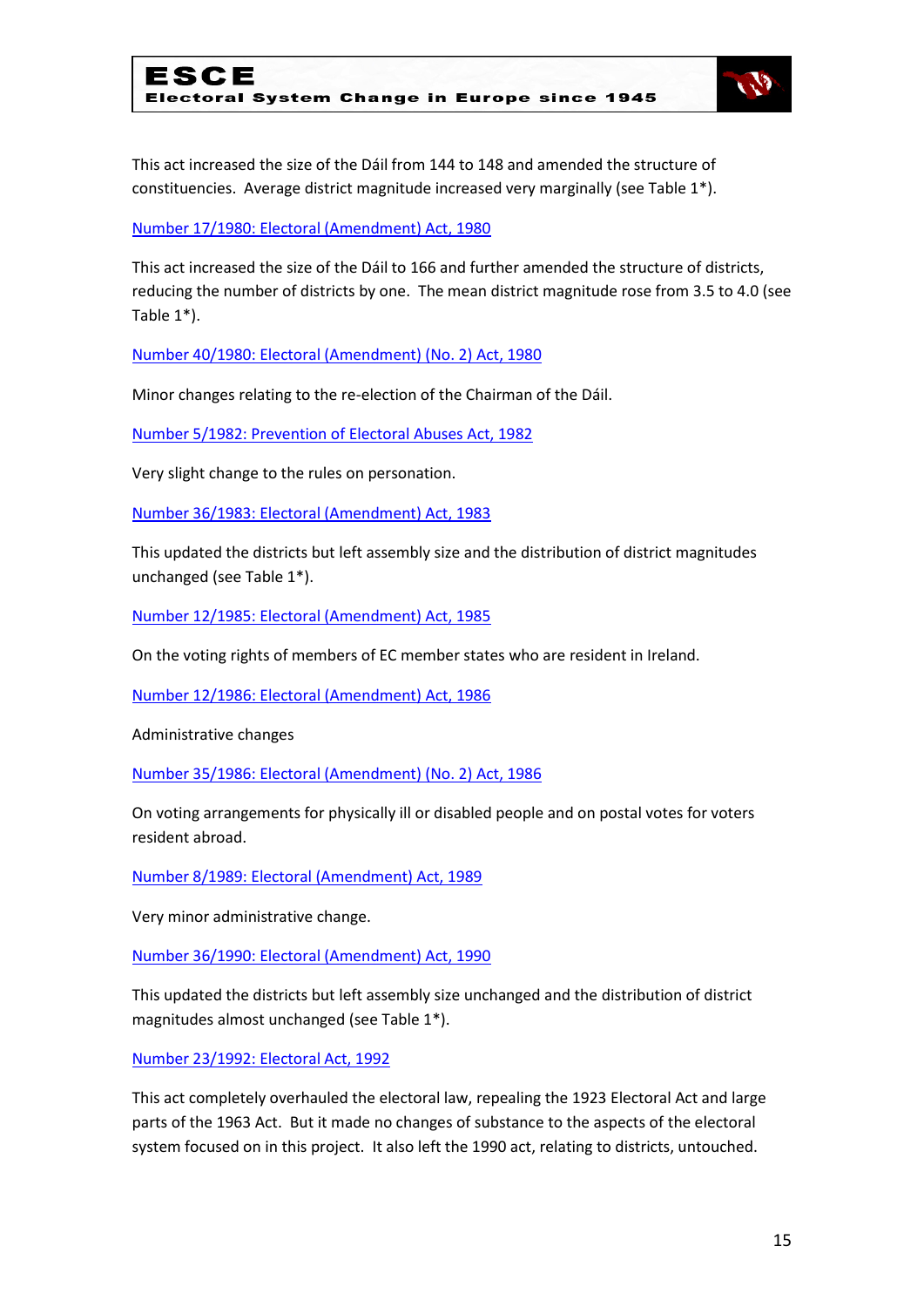

This act increased the size of the Dáil from 144 to 148 and amended the structure of constituencies. Average district magnitude increased very marginally (see Table 1\*).

#### [Number 17/1980: Electoral \(Amendment\) Act, 1980](http://www.acts.ie/plweb-cgi/fastweb?state_id=1288196558&view=s0052_english_view&docrank=19&numhitsfound=51&query_rule=%28%28%28$query4%29%3C%3Dactyear%3C%3D%28$query5%29%29%20AND%20%28%28$query6%29%29%3Aactno%20AND%20%28%28$query7%29%29%3Asectionnumber%20AND%20%28%28$query1%29%29%3Alongtitle%20AND%20%28%28$query2%29%29%3Ashorttitle%20AND%20%28%28$query3%29%29%3Asidehead%20AND%20%28%28$query%29%29%29&query2=electoral&query4=1922&query5=2010&docid=5923&docdb=s0052_english&dbname=s0052_english&numresults=100&sorting=none&operator=and&TemplateName=predoc.tmpl&setCookie=1)

This act increased the size of the Dáil to 166 and further amended the structure of districts, reducing the number of districts by one. The mean district magnitude rose from 3.5 to 4.0 (see Table 1\*).

[Number 40/1980: Electoral \(Amendment\) \(No. 2\) Act, 1980](http://www.acts.ie/plweb-cgi/fastweb?state_id=1288196558&view=s0052_english_view&docrank=18&numhitsfound=51&query_rule=%28%28%28$query4%29%3C%3Dactyear%3C%3D%28$query5%29%29%20AND%20%28%28$query6%29%29%3Aactno%20AND%20%28%28$query7%29%29%3Asectionnumber%20AND%20%28%28$query1%29%29%3Alongtitle%20AND%20%28%28$query2%29%29%3Ashorttitle%20AND%20%28%28$query3%29%29%3Asidehead%20AND%20%28%28$query%29%29%29&query2=electoral&query4=1922&query5=2010&docid=5957&docdb=s0052_english&dbname=s0052_english&numresults=100&sorting=none&operator=and&TemplateName=predoc.tmpl&setCookie=1)

Minor changes relating to the re-election of the Chairman of the Dáil.

[Number 5/1982: Prevention of Electoral Abuses Act, 1982](http://www.acts.ie/plweb-cgi/fastweb?state_id=1288196558&view=s0052_english_view&docrank=17&numhitsfound=51&query_rule=%28%28%28$query4%29%3C%3Dactyear%3C%3D%28$query5%29%29%20AND%20%28%28$query6%29%29%3Aactno%20AND%20%28%28$query7%29%29%3Asectionnumber%20AND%20%28%28$query1%29%29%3Alongtitle%20AND%20%28%28$query2%29%29%3Ashorttitle%20AND%20%28%28$query3%29%29%3Asidehead%20AND%20%28%28$query%29%29%29&query2=electoral&query4=1922&query5=2010&docid=6100&docdb=s0052_english&dbname=s0052_english&numresults=100&sorting=none&operator=and&TemplateName=predoc.tmpl&setCookie=1)

Very slight change to the rules on personation.

[Number 36/1983: Electoral \(Amendment\) Act, 1983](http://www.acts.ie/plweb-cgi/fastweb?state_id=1288196558&view=s0052_english_view&docrank=16&numhitsfound=51&query_rule=%28%28%28$query4%29%3C%3Dactyear%3C%3D%28$query5%29%29%20AND%20%28%28$query6%29%29%3Aactno%20AND%20%28%28$query7%29%29%3Asectionnumber%20AND%20%28%28$query1%29%29%3Alongtitle%20AND%20%28%28$query2%29%29%3Ashorttitle%20AND%20%28%28$query3%29%29%3Asidehead%20AND%20%28%28$query%29%29%29&query2=electoral&query4=1922&query5=2010&docid=6231&docdb=s0052_english&dbname=s0052_english&numresults=100&sorting=none&operator=and&TemplateName=predoc.tmpl&setCookie=1)

This updated the districts but left assembly size and the distribution of district magnitudes unchanged (see Table 1\*).

[Number 12/1985: Electoral \(Amendment\) Act, 1985](http://www.acts.ie/plweb-cgi/fastweb?state_id=1288196558&view=s0052_english_view&docrank=15&numhitsfound=51&query_rule=%28%28%28$query4%29%3C%3Dactyear%3C%3D%28$query5%29%29%20AND%20%28%28$query6%29%29%3Aactno%20AND%20%28%28$query7%29%29%3Asectionnumber%20AND%20%28%28$query1%29%29%3Alongtitle%20AND%20%28%28$query2%29%29%3Ashorttitle%20AND%20%28%28$query3%29%29%3Asidehead%20AND%20%28%28$query%29%29%29&query2=electoral&query4=1922&query5=2010&docid=6343&docdb=s0052_english&dbname=s0052_english&numresults=100&sorting=none&operator=and&TemplateName=predoc.tmpl&setCookie=1)

On the voting rights of members of EC member states who are resident in Ireland.

[Number 12/1986: Electoral \(Amendment\) Act, 1986](http://www.acts.ie/plweb-cgi/fastweb?state_id=1288196558&view=s0052_english_view&docrank=14&numhitsfound=51&query_rule=%28%28%28$query4%29%3C%3Dactyear%3C%3D%28$query5%29%29%20AND%20%28%28$query6%29%29%3Aactno%20AND%20%28%28$query7%29%29%3Asectionnumber%20AND%20%28%28$query1%29%29%3Alongtitle%20AND%20%28%28$query2%29%29%3Ashorttitle%20AND%20%28%28$query3%29%29%3Asidehead%20AND%20%28%28$query%29%29%29&query2=electoral&query4=1922&query5=2010&docid=6401&docdb=s0052_english&dbname=s0052_english&numresults=100&sorting=none&operator=and&TemplateName=predoc.tmpl&setCookie=1)

Administrative changes

[Number 35/1986: Electoral \(Amendment\) \(No. 2\) Act, 1986](http://www.acts.ie/plweb-cgi/fastweb?state_id=1288196558&view=s0052_english_view&docrank=13&numhitsfound=51&query_rule=%28%28%28$query4%29%3C%3Dactyear%3C%3D%28$query5%29%29%20AND%20%28%28$query6%29%29%3Aactno%20AND%20%28%28$query7%29%29%3Asectionnumber%20AND%20%28%28$query1%29%29%3Alongtitle%20AND%20%28%28$query2%29%29%3Ashorttitle%20AND%20%28%28$query3%29%29%3Asidehead%20AND%20%28%28$query%29%29%29&query2=electoral&query4=1922&query5=2010&docid=6468&docdb=s0052_english&dbname=s0052_english&numresults=100&sorting=none&operator=and&TemplateName=predoc.tmpl&setCookie=1)

On voting arrangements for physically ill or disabled people and on postal votes for voters resident abroad.

[Number 8/1989: Electoral \(Amendment\) Act, 1989](http://www.acts.ie/plweb-cgi/fastweb?state_id=1288196558&view=s0052_english_view&docrank=12&numhitsfound=51&query_rule=%28%28%28$query4%29%3C%3Dactyear%3C%3D%28$query5%29%29%20AND%20%28%28$query6%29%29%3Aactno%20AND%20%28%28$query7%29%29%3Asectionnumber%20AND%20%28%28$query1%29%29%3Alongtitle%20AND%20%28%28$query2%29%29%3Ashorttitle%20AND%20%28%28$query3%29%29%3Asidehead%20AND%20%28%28$query%29%29%29&query2=electoral&query4=1922&query5=2010&docid=6727&docdb=s0052_english&dbname=s0052_english&numresults=100&sorting=none&operator=and&TemplateName=predoc.tmpl&setCookie=1)

Very minor administrative change.

[Number 36/1990: Electoral \(Amendment\) Act, 1990](http://www.acts.ie/plweb-cgi/fastweb?state_id=1288196558&view=s0052_english_view&docrank=11&numhitsfound=51&query_rule=%28%28%28$query4%29%3C%3Dactyear%3C%3D%28$query5%29%29%20AND%20%28%28$query6%29%29%3Aactno%20AND%20%28%28$query7%29%29%3Asectionnumber%20AND%20%28%28$query1%29%29%3Alongtitle%20AND%20%28%28$query2%29%29%3Ashorttitle%20AND%20%28%28$query3%29%29%3Asidehead%20AND%20%28%28$query%29%29%29&query2=electoral&query4=1922&query5=2010&docid=6938&docdb=s0052_english&dbname=s0052_english&numresults=100&sorting=none&operator=and&TemplateName=predoc.tmpl&setCookie=1)

This updated the districts but left assembly size unchanged and the distribution of district magnitudes almost unchanged (see Table 1\*).

[Number 23/1992: Electoral Act, 1992](http://www.acts.ie/plweb-cgi/fastweb?state_id=1288196558&view=s0052_english_view&docrank=10&numhitsfound=51&query_rule=%28%28%28$query4%29%3C%3Dactyear%3C%3D%28$query5%29%29%20AND%20%28%28$query6%29%29%3Aactno%20AND%20%28%28$query7%29%29%3Asectionnumber%20AND%20%28%28$query1%29%29%3Alongtitle%20AND%20%28%28$query2%29%29%3Ashorttitle%20AND%20%28%28$query3%29%29%3Asidehead%20AND%20%28%28$query%29%29%29&query2=electoral&query4=1922&query5=2010&docid=7179&docdb=s0052_english&dbname=s0052_english&numresults=100&sorting=none&operator=and&TemplateName=predoc.tmpl&setCookie=1)

This act completely overhauled the electoral law, repealing the 1923 Electoral Act and large parts of the 1963 Act. But it made no changes of substance to the aspects of the electoral system focused on in this project. It also left the 1990 act, relating to districts, untouched.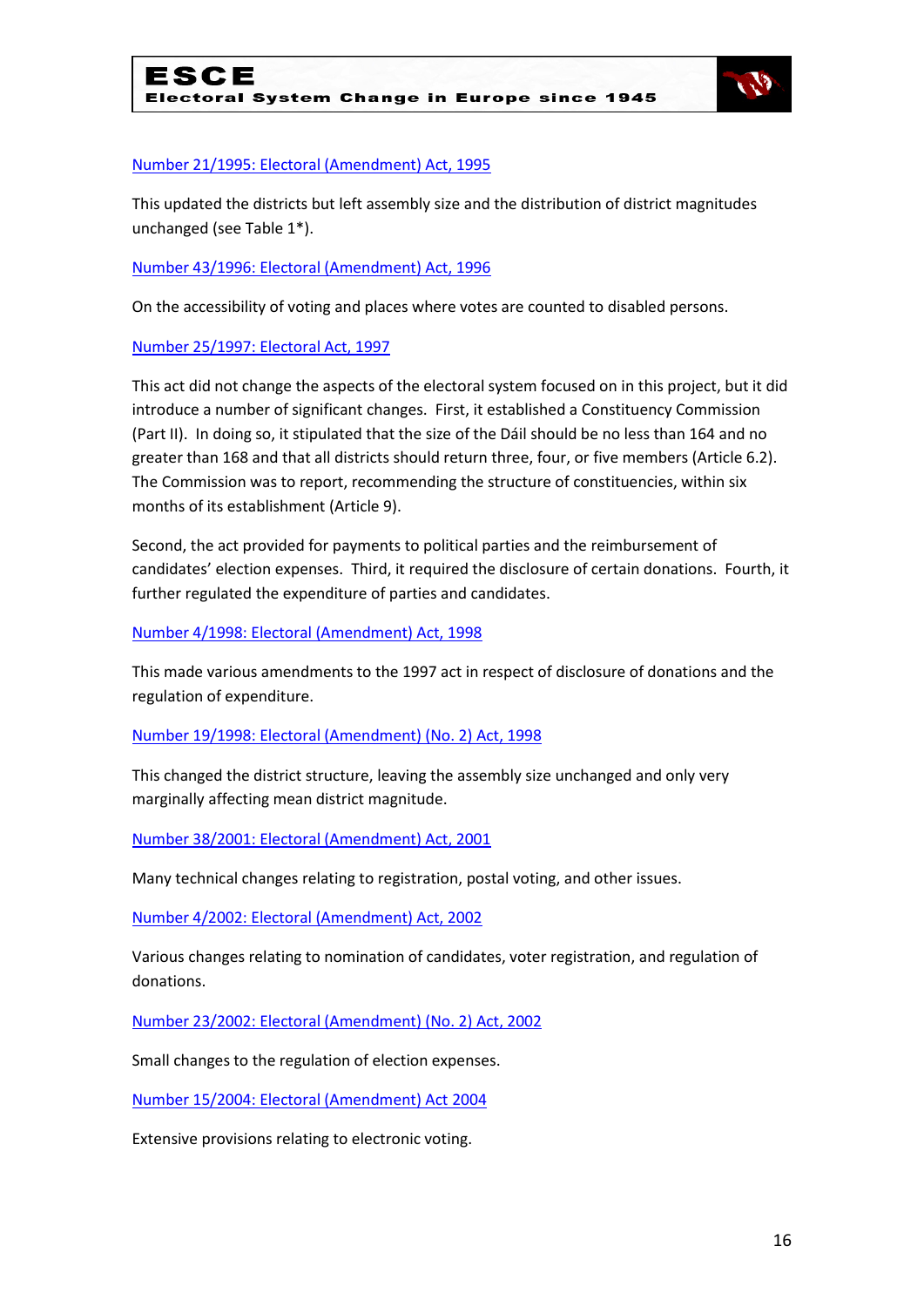

#### [Number 21/1995: Electoral \(Amendment\) Act, 1995](http://www.acts.ie/plweb-cgi/fastweb?state_id=1288196558&view=s0052_english_view&docrank=9&numhitsfound=51&query_rule=%28%28%28$query4%29%3C%3Dactyear%3C%3D%28$query5%29%29%20AND%20%28%28$query6%29%29%3Aactno%20AND%20%28%28$query7%29%29%3Asectionnumber%20AND%20%28%28$query1%29%29%3Alongtitle%20AND%20%28%28$query2%29%29%3Ashorttitle%20AND%20%28%28$query3%29%29%3Asidehead%20AND%20%28%28$query%29%29%29&query2=electoral&query4=1922&query5=2010&docid=7681&docdb=s0052_english&dbname=s0052_english&numresults=100&sorting=none&operator=and&TemplateName=predoc.tmpl&setCookie=1)

This updated the districts but left assembly size and the distribution of district magnitudes unchanged (see Table 1\*).

#### [Number 43/1996: Electoral \(Amendment\) Act, 1996](http://www.acts.ie/plweb-cgi/fastweb?state_id=1288196558&view=s0052_english_view&docrank=8&numhitsfound=51&query_rule=%28%28%28$query4%29%3C%3Dactyear%3C%3D%28$query5%29%29%20AND%20%28%28$query6%29%29%3Aactno%20AND%20%28%28$query7%29%29%3Asectionnumber%20AND%20%28%28$query1%29%29%3Alongtitle%20AND%20%28%28$query2%29%29%3Ashorttitle%20AND%20%28%28$query3%29%29%3Asidehead%20AND%20%28%28$query%29%29%29&query2=electoral&query4=1922&query5=2010&docid=7934&docdb=s0052_english&dbname=s0052_english&numresults=100&sorting=none&operator=and&TemplateName=predoc.tmpl&setCookie=1)

On the accessibility of voting and places where votes are counted to disabled persons.

#### [Number 25/1997: Electoral Act, 1997](http://www.acts.ie/plweb-cgi/fastweb?state_id=1288196558&view=s0052_english_view&docrank=7&numhitsfound=51&query_rule=%28%28%28$query4%29%3C%3Dactyear%3C%3D%28$query5%29%29%20AND%20%28%28$query6%29%29%3Aactno%20AND%20%28%28$query7%29%29%3Asectionnumber%20AND%20%28%28$query1%29%29%3Alongtitle%20AND%20%28%28$query2%29%29%3Ashorttitle%20AND%20%28%28$query3%29%29%3Asidehead%20AND%20%28%28$query%29%29%29&query2=electoral&query4=1922&query5=2010&docid=8109&docdb=s0052_english&dbname=s0052_english&numresults=100&sorting=none&operator=and&TemplateName=predoc.tmpl&setCookie=1)

This act did not change the aspects of the electoral system focused on in this project, but it did introduce a number of significant changes. First, it established a Constituency Commission (Part II). In doing so, it stipulated that the size of the Dáil should be no less than 164 and no greater than 168 and that all districts should return three, four, or five members (Article 6.2). The Commission was to report, recommending the structure of constituencies, within six months of its establishment (Article 9).

Second, the act provided for payments to political parties and the reimbursement of candidates' election expenses. Third, it required the disclosure of certain donations. Fourth, it further regulated the expenditure of parties and candidates.

[Number 4/1998: Electoral \(Amendment\) Act, 1998](http://www.acts.ie/plweb-cgi/fastweb?state_id=1288196558&view=s0052_english_view&docrank=6&numhitsfound=51&query_rule=%28%28%28$query4%29%3C%3Dactyear%3C%3D%28$query5%29%29%20AND%20%28%28$query6%29%29%3Aactno%20AND%20%28%28$query7%29%29%3Asectionnumber%20AND%20%28%28$query1%29%29%3Alongtitle%20AND%20%28%28$query2%29%29%3Ashorttitle%20AND%20%28%28$query3%29%29%3Asidehead%20AND%20%28%28$query%29%29%29&query2=electoral&query4=1922&query5=2010&docid=8361&docdb=s0052_english&dbname=s0052_english&numresults=100&sorting=none&operator=and&TemplateName=predoc.tmpl&setCookie=1)

This made various amendments to the 1997 act in respect of disclosure of donations and the regulation of expenditure.

#### [Number 19/1998: Electoral \(Amendment\) \(No. 2\) Act, 1998](http://www.acts.ie/plweb-cgi/fastweb?state_id=1288196558&view=s0052_english_view&docrank=5&numhitsfound=51&query_rule=%28%28%28$query4%29%3C%3Dactyear%3C%3D%28$query5%29%29%20AND%20%28%28$query6%29%29%3Aactno%20AND%20%28%28$query7%29%29%3Asectionnumber%20AND%20%28%28$query1%29%29%3Alongtitle%20AND%20%28%28$query2%29%29%3Ashorttitle%20AND%20%28%28$query3%29%29%3Asidehead%20AND%20%28%28$query%29%29%29&query2=electoral&query4=1922&query5=2010&docid=8409&docdb=s0052_english&dbname=s0052_english&numresults=100&sorting=none&operator=and&TemplateName=predoc.tmpl&setCookie=1)

This changed the district structure, leaving the assembly size unchanged and only very marginally affecting mean district magnitude.

[Number 38/2001: Electoral \(Amendment\) Act, 2001](http://www.acts.ie/plweb-cgi/fastweb?state_id=1288196558&view=s0052_english_view&docrank=4&numhitsfound=51&query_rule=%28%28%28$query4%29%3C%3Dactyear%3C%3D%28$query5%29%29%20AND%20%28%28$query6%29%29%3Aactno%20AND%20%28%28$query7%29%29%3Asectionnumber%20AND%20%28%28$query1%29%29%3Alongtitle%20AND%20%28%28$query2%29%29%3Ashorttitle%20AND%20%28%28$query3%29%29%3Asidehead%20AND%20%28%28$query%29%29%29&query2=electoral&query4=1922&query5=2010&docid=9258&docdb=s0052_english&dbname=s0052_english&numresults=100&sorting=none&operator=and&TemplateName=predoc.tmpl&setCookie=1)

Many technical changes relating to registration, postal voting, and other issues.

[Number 4/2002: Electoral \(Amendment\) Act, 2002](http://www.acts.ie/plweb-cgi/fastweb?state_id=1288196558&view=s0052_english_view&docrank=3&numhitsfound=51&query_rule=%28%28%28$query4%29%3C%3Dactyear%3C%3D%28$query5%29%29%20AND%20%28%28$query6%29%29%3Aactno%20AND%20%28%28$query7%29%29%3Asectionnumber%20AND%20%28%28$query1%29%29%3Alongtitle%20AND%20%28%28$query2%29%29%3Ashorttitle%20AND%20%28%28$query3%29%29%3Asidehead%20AND%20%28%28$query%29%29%29&query2=electoral&query4=1922&query5=2010&docid=9367&docdb=s0052_english&dbname=s0052_english&numresults=100&sorting=none&operator=and&TemplateName=predoc.tmpl&setCookie=1)

Various changes relating to nomination of candidates, voter registration, and regulation of donations.

[Number 23/2002: Electoral \(Amendment\) \(No. 2\) Act, 2002](http://www.acts.ie/plweb-cgi/fastweb?state_id=1288196558&view=s0052_english_view&docrank=2&numhitsfound=51&query_rule=%28%28%28$query4%29%3C%3Dactyear%3C%3D%28$query5%29%29%20AND%20%28%28$query6%29%29%3Aactno%20AND%20%28%28$query7%29%29%3Asectionnumber%20AND%20%28%28$query1%29%29%3Alongtitle%20AND%20%28%28$query2%29%29%3Ashorttitle%20AND%20%28%28$query3%29%29%3Asidehead%20AND%20%28%28$query%29%29%29&query2=electoral&query4=1922&query5=2010&docid=9477&docdb=s0052_english&dbname=s0052_english&numresults=100&sorting=none&operator=and&TemplateName=predoc.tmpl&setCookie=1)

Small changes to the regulation of election expenses.

[Number 15/2004: Electoral \(Amendment\) Act 2004](http://www.acts.ie/plweb-cgi/fastweb?state_id=1288196558&view=s0052_english_view&docrank=1&numhitsfound=51&query_rule=%28%28%28$query4%29%3C%3Dactyear%3C%3D%28$query5%29%29%20AND%20%28%28$query6%29%29%3Aactno%20AND%20%28%28$query7%29%29%3Asectionnumber%20AND%20%28%28$query1%29%29%3Alongtitle%20AND%20%28%28$query2%29%29%3Ashorttitle%20AND%20%28%28$query3%29%29%3Asidehead%20AND%20%28%28$query%29%29%29&query2=electoral&query4=1922&query5=2010&docid=9780&docdb=s0052_english&dbname=s0052_english&numresults=100&sorting=none&operator=and&TemplateName=predoc.tmpl&setCookie=1)

Extensive provisions relating to electronic voting.